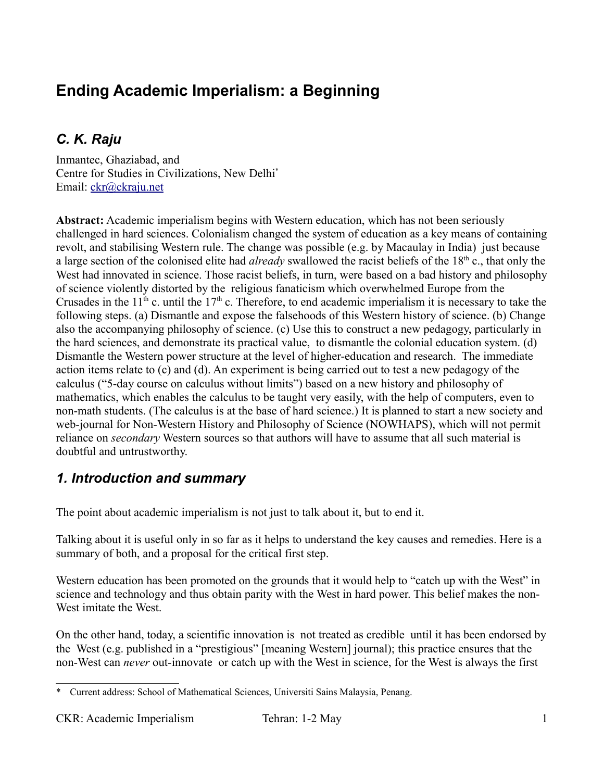# **Ending Academic Imperialism: a Beginning**

# *C. K. Raju*

Inmantec, Ghaziabad, and Centre for Studies in Civilizations, New Delhi[\\*](#page-0-0) Email: [ckr@ckraju.net](mailto:ckr@ckraju.net)

**Abstract:** Academic imperialism begins with Western education, which has not been seriously challenged in hard sciences. Colonialism changed the system of education as a key means of containing revolt, and stabilising Western rule. The change was possible (e.g. by Macaulay in India) just because a large section of the colonised elite had *already* swallowed the racist beliefs of the 18<sup>th</sup> c., that only the West had innovated in science. Those racist beliefs, in turn, were based on a bad history and philosophy of science violently distorted by the religious fanaticism which overwhelmed Europe from the Crusades in the 11<sup>th</sup> c. until the 17<sup>th</sup> c. Therefore, to end academic imperialism it is necessary to take the following steps. (a) Dismantle and expose the falsehoods of this Western history of science. (b) Change also the accompanying philosophy of science. (c) Use this to construct a new pedagogy, particularly in the hard sciences, and demonstrate its practical value, to dismantle the colonial education system. (d) Dismantle the Western power structure at the level of higher-education and research. The immediate action items relate to (c) and (d). An experiment is being carried out to test a new pedagogy of the calculus ("5-day course on calculus without limits") based on a new history and philosophy of mathematics, which enables the calculus to be taught very easily, with the help of computers, even to non-math students. (The calculus is at the base of hard science.) It is planned to start a new society and web-journal for Non-Western History and Philosophy of Science (NOWHAPS), which will not permit reliance on *secondary* Western sources so that authors will have to assume that all such material is doubtful and untrustworthy.

# *1. Introduction and summary*

The point about academic imperialism is not just to talk about it, but to end it.

Talking about it is useful only in so far as it helps to understand the key causes and remedies. Here is a summary of both, and a proposal for the critical first step.

Western education has been promoted on the grounds that it would help to "catch up with the West" in science and technology and thus obtain parity with the West in hard power. This belief makes the non-West imitate the West.

On the other hand, today, a scientific innovation is not treated as credible until it has been endorsed by the West (e.g. published in a "prestigious" [meaning Western] journal); this practice ensures that the non-West can *never* out-innovate or catch up with the West in science, for the West is always the first

<span id="page-0-0"></span><sup>\*</sup> Current address: School of Mathematical Sciences, Universiti Sains Malaysia, Penang.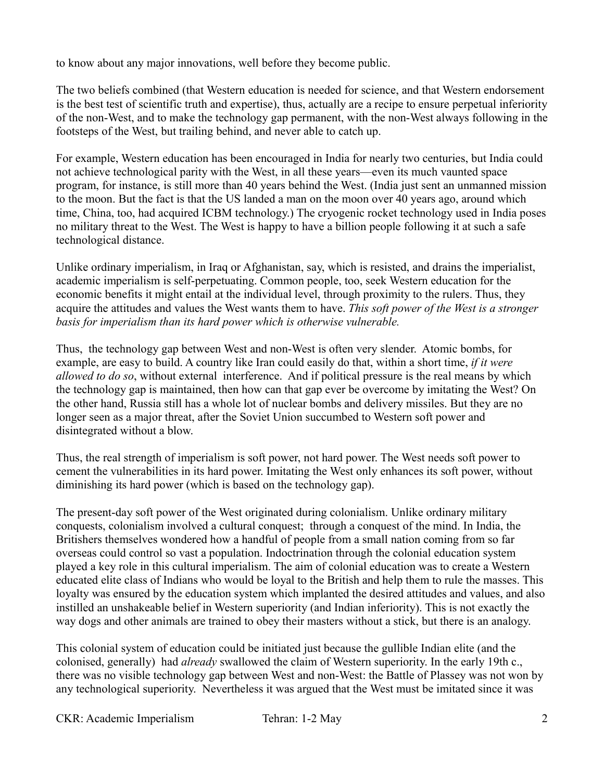to know about any major innovations, well before they become public.

The two beliefs combined (that Western education is needed for science, and that Western endorsement is the best test of scientific truth and expertise), thus, actually are a recipe to ensure perpetual inferiority of the non-West, and to make the technology gap permanent, with the non-West always following in the footsteps of the West, but trailing behind, and never able to catch up.

For example, Western education has been encouraged in India for nearly two centuries, but India could not achieve technological parity with the West, in all these years—even its much vaunted space program, for instance, is still more than 40 years behind the West. (India just sent an unmanned mission to the moon. But the fact is that the US landed a man on the moon over 40 years ago, around which time, China, too, had acquired ICBM technology.) The cryogenic rocket technology used in India poses no military threat to the West. The West is happy to have a billion people following it at such a safe technological distance.

Unlike ordinary imperialism, in Iraq or Afghanistan, say, which is resisted, and drains the imperialist, academic imperialism is self-perpetuating. Common people, too, seek Western education for the economic benefits it might entail at the individual level, through proximity to the rulers. Thus, they acquire the attitudes and values the West wants them to have. *This soft power of the West is a stronger basis for imperialism than its hard power which is otherwise vulnerable.*

Thus, the technology gap between West and non-West is often very slender. Atomic bombs, for example, are easy to build. A country like Iran could easily do that, within a short time, *if it were allowed to do so*, without external interference. And if political pressure is the real means by which the technology gap is maintained, then how can that gap ever be overcome by imitating the West? On the other hand, Russia still has a whole lot of nuclear bombs and delivery missiles. But they are no longer seen as a major threat, after the Soviet Union succumbed to Western soft power and disintegrated without a blow.

Thus, the real strength of imperialism is soft power, not hard power. The West needs soft power to cement the vulnerabilities in its hard power. Imitating the West only enhances its soft power, without diminishing its hard power (which is based on the technology gap).

The present-day soft power of the West originated during colonialism. Unlike ordinary military conquests, colonialism involved a cultural conquest; through a conquest of the mind. In India, the Britishers themselves wondered how a handful of people from a small nation coming from so far overseas could control so vast a population. Indoctrination through the colonial education system played a key role in this cultural imperialism. The aim of colonial education was to create a Western educated elite class of Indians who would be loyal to the British and help them to rule the masses. This loyalty was ensured by the education system which implanted the desired attitudes and values, and also instilled an unshakeable belief in Western superiority (and Indian inferiority). This is not exactly the way dogs and other animals are trained to obey their masters without a stick, but there is an analogy.

This colonial system of education could be initiated just because the gullible Indian elite (and the colonised, generally) had *already* swallowed the claim of Western superiority. In the early 19th c., there was no visible technology gap between West and non-West: the Battle of Plassey was not won by any technological superiority. Nevertheless it was argued that the West must be imitated since it was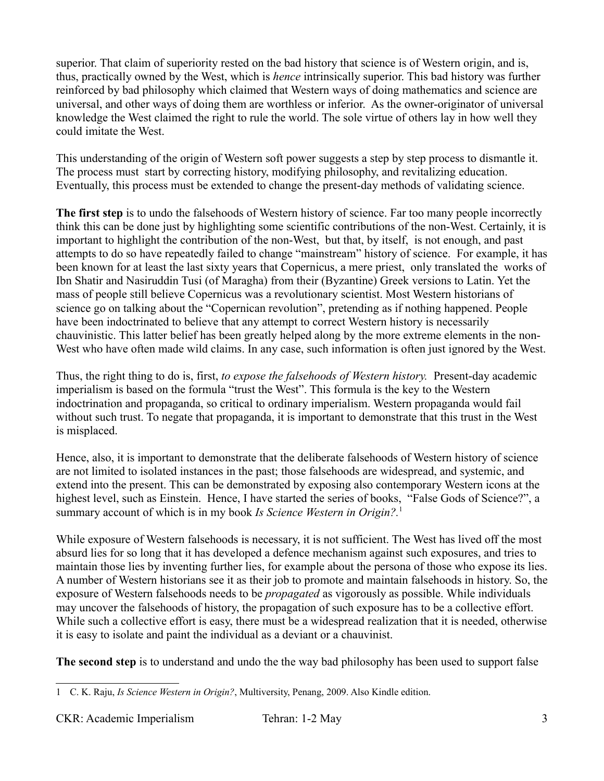superior. That claim of superiority rested on the bad history that science is of Western origin, and is, thus, practically owned by the West, which is *hence* intrinsically superior. This bad history was further reinforced by bad philosophy which claimed that Western ways of doing mathematics and science are universal, and other ways of doing them are worthless or inferior. As the owner-originator of universal knowledge the West claimed the right to rule the world. The sole virtue of others lay in how well they could imitate the West.

This understanding of the origin of Western soft power suggests a step by step process to dismantle it. The process must start by correcting history, modifying philosophy, and revitalizing education. Eventually, this process must be extended to change the present-day methods of validating science.

**The first step** is to undo the falsehoods of Western history of science. Far too many people incorrectly think this can be done just by highlighting some scientific contributions of the non-West. Certainly, it is important to highlight the contribution of the non-West, but that, by itself, is not enough, and past attempts to do so have repeatedly failed to change "mainstream" history of science. For example, it has been known for at least the last sixty years that Copernicus, a mere priest, only translated the works of Ibn Shatir and Nasiruddin Tusi (of Maragha) from their (Byzantine) Greek versions to Latin. Yet the mass of people still believe Copernicus was a revolutionary scientist. Most Western historians of science go on talking about the "Copernican revolution", pretending as if nothing happened. People have been indoctrinated to believe that any attempt to correct Western history is necessarily chauvinistic. This latter belief has been greatly helped along by the more extreme elements in the non-West who have often made wild claims. In any case, such information is often just ignored by the West.

Thus, the right thing to do is, first, *to expose the falsehoods of Western history.* Present-day academic imperialism is based on the formula "trust the West". This formula is the key to the Western indoctrination and propaganda, so critical to ordinary imperialism. Western propaganda would fail without such trust. To negate that propaganda, it is important to demonstrate that this trust in the West is misplaced.

Hence, also, it is important to demonstrate that the deliberate falsehoods of Western history of science are not limited to isolated instances in the past; those falsehoods are widespread, and systemic, and extend into the present. This can be demonstrated by exposing also contemporary Western icons at the highest level, such as Einstein. Hence, I have started the series of books, "False Gods of Science?", a summary account of which is in my book *Is Science Western in Origin?.*[1](#page-2-0)

While exposure of Western falsehoods is necessary, it is not sufficient. The West has lived off the most absurd lies for so long that it has developed a defence mechanism against such exposures, and tries to maintain those lies by inventing further lies, for example about the persona of those who expose its lies. A number of Western historians see it as their job to promote and maintain falsehoods in history. So, the exposure of Western falsehoods needs to be *propagated* as vigorously as possible. While individuals may uncover the falsehoods of history, the propagation of such exposure has to be a collective effort. While such a collective effort is easy, there must be a widespread realization that it is needed, otherwise it is easy to isolate and paint the individual as a deviant or a chauvinist.

**The second step** is to understand and undo the the way bad philosophy has been used to support false

<span id="page-2-0"></span><sup>1</sup> C. K. Raju, *Is Science Western in Origin?*, Multiversity, Penang, 2009. Also Kindle edition.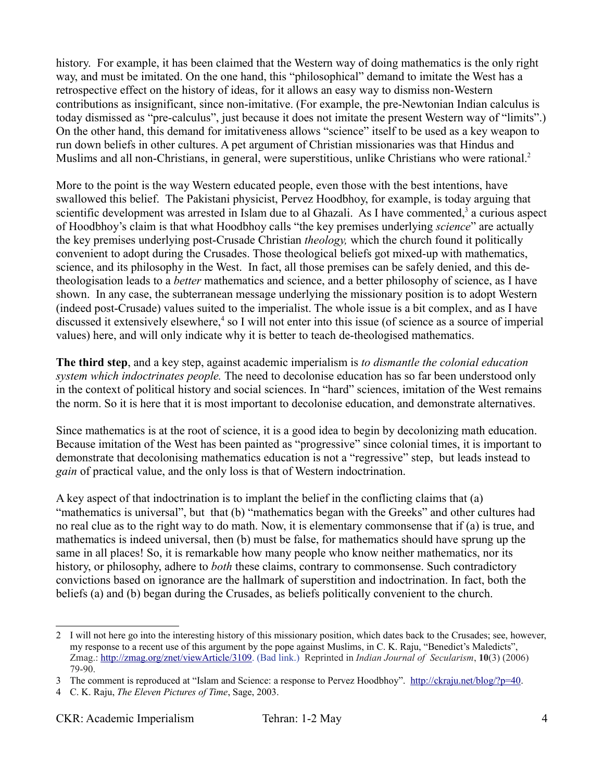history. For example, it has been claimed that the Western way of doing mathematics is the only right way, and must be imitated. On the one hand, this "philosophical" demand to imitate the West has a retrospective effect on the history of ideas, for it allows an easy way to dismiss non-Western contributions as insignificant, since non-imitative. (For example, the pre-Newtonian Indian calculus is today dismissed as "pre-calculus", just because it does not imitate the present Western way of "limits".) On the other hand, this demand for imitativeness allows "science" itself to be used as a key weapon to run down beliefs in other cultures. A pet argument of Christian missionaries was that Hindus and Muslims and all non-Christians, in general, were superstitious, unlike Christians who were rational.<sup>[2](#page-3-0)</sup>

More to the point is the way Western educated people, even those with the best intentions, have swallowed this belief. The Pakistani physicist, Pervez Hoodbhoy, for example, is today arguing that scientific development was arrested in Islam due to al Ghazali. As I have commented,<sup>[3](#page-3-1)</sup> a curious aspect of Hoodbhoy's claim is that what Hoodbhoy calls "the key premises underlying *science*" are actually the key premises underlying post-Crusade Christian *theology,* which the church found it politically convenient to adopt during the Crusades. Those theological beliefs got mixed-up with mathematics, science, and its philosophy in the West. In fact, all those premises can be safely denied, and this detheologisation leads to a *better* mathematics and science, and a better philosophy of science, as I have shown. In any case, the subterranean message underlying the missionary position is to adopt Western (indeed post-Crusade) values suited to the imperialist. The whole issue is a bit complex, and as I have discussed it extensively elsewhere,<sup>[4](#page-3-2)</sup> so I will not enter into this issue (of science as a source of imperial values) here, and will only indicate why it is better to teach de-theologised mathematics.

**The third step**, and a key step, against academic imperialism is *to dismantle the colonial education system which indoctrinates people.* The need to decolonise education has so far been understood only in the context of political history and social sciences. In "hard" sciences, imitation of the West remains the norm. So it is here that it is most important to decolonise education, and demonstrate alternatives.

Since mathematics is at the root of science, it is a good idea to begin by decolonizing math education. Because imitation of the West has been painted as "progressive" since colonial times, it is important to demonstrate that decolonising mathematics education is not a "regressive" step, but leads instead to *gain* of practical value, and the only loss is that of Western indoctrination.

A key aspect of that indoctrination is to implant the belief in the conflicting claims that (a) "mathematics is universal", but that (b) "mathematics began with the Greeks" and other cultures had no real clue as to the right way to do math. Now, it is elementary commonsense that if (a) is true, and mathematics is indeed universal, then (b) must be false, for mathematics should have sprung up the same in all places! So, it is remarkable how many people who know neither mathematics, nor its history, or philosophy, adhere to *both* these claims, contrary to commonsense. Such contradictory convictions based on ignorance are the hallmark of superstition and indoctrination. In fact, both the beliefs (a) and (b) began during the Crusades, as beliefs politically convenient to the church.

<span id="page-3-0"></span><sup>2</sup> I will not here go into the interesting history of this missionary position, which dates back to the Crusades; see, however, my response to a recent use of this argument by the pope against Muslims, in C. K. Raju, "Benedict's Maledicts", Zmag.: [http://zmag.org/znet/viewArticle/3109.](http://zmag.org/znet/viewArticle/3109) (Bad link.) Reprinted in *Indian Journal of Secularism*, **10**(3) (2006) 79-90.

<span id="page-3-1"></span><sup>3</sup> The comment is reproduced at "Islam and Science: a response to Pervez Hoodbhoy". [http://ckraju.net/blog/?p=40.](http://ckraju.net/blog/?p=40)

<span id="page-3-2"></span><sup>4</sup> C. K. Raju, *The Eleven Pictures of Time*, Sage, 2003.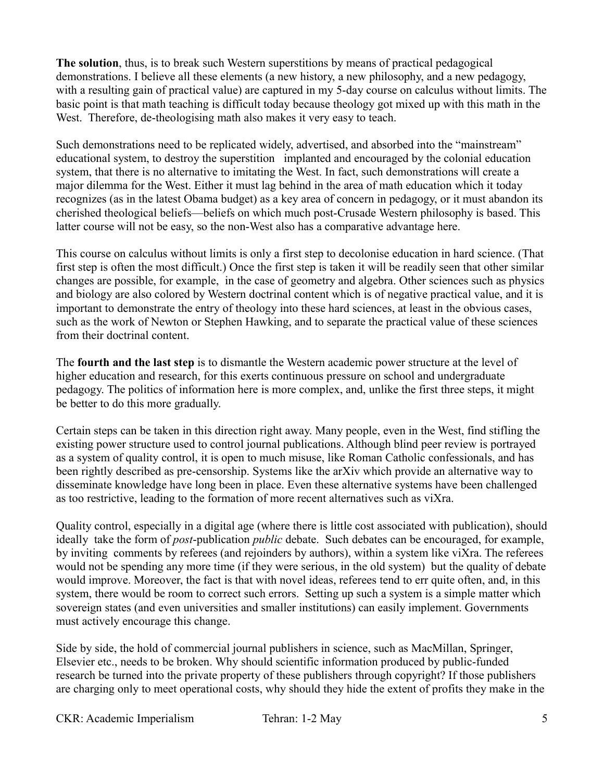**The solution**, thus, is to break such Western superstitions by means of practical pedagogical demonstrations. I believe all these elements (a new history, a new philosophy, and a new pedagogy, with a resulting gain of practical value) are captured in my 5-day course on calculus without limits. The basic point is that math teaching is difficult today because theology got mixed up with this math in the West. Therefore, de-theologising math also makes it very easy to teach.

Such demonstrations need to be replicated widely, advertised, and absorbed into the "mainstream" educational system, to destroy the superstition implanted and encouraged by the colonial education system, that there is no alternative to imitating the West. In fact, such demonstrations will create a major dilemma for the West. Either it must lag behind in the area of math education which it today recognizes (as in the latest Obama budget) as a key area of concern in pedagogy, or it must abandon its cherished theological beliefs—beliefs on which much post-Crusade Western philosophy is based. This latter course will not be easy, so the non-West also has a comparative advantage here.

This course on calculus without limits is only a first step to decolonise education in hard science. (That first step is often the most difficult.) Once the first step is taken it will be readily seen that other similar changes are possible, for example, in the case of geometry and algebra. Other sciences such as physics and biology are also colored by Western doctrinal content which is of negative practical value, and it is important to demonstrate the entry of theology into these hard sciences, at least in the obvious cases, such as the work of Newton or Stephen Hawking, and to separate the practical value of these sciences from their doctrinal content.

The **fourth and the last step** is to dismantle the Western academic power structure at the level of higher education and research, for this exerts continuous pressure on school and undergraduate pedagogy. The politics of information here is more complex, and, unlike the first three steps, it might be better to do this more gradually.

Certain steps can be taken in this direction right away. Many people, even in the West, find stifling the existing power structure used to control journal publications. Although blind peer review is portrayed as a system of quality control, it is open to much misuse, like Roman Catholic confessionals, and has been rightly described as pre-censorship. Systems like the arXiv which provide an alternative way to disseminate knowledge have long been in place. Even these alternative systems have been challenged as too restrictive, leading to the formation of more recent alternatives such as viXra.

Quality control, especially in a digital age (where there is little cost associated with publication), should ideally take the form of *post*-publication *public* debate. Such debates can be encouraged, for example, by inviting comments by referees (and rejoinders by authors), within a system like viXra. The referees would not be spending any more time (if they were serious, in the old system) but the quality of debate would improve. Moreover, the fact is that with novel ideas, referees tend to err quite often, and, in this system, there would be room to correct such errors. Setting up such a system is a simple matter which sovereign states (and even universities and smaller institutions) can easily implement. Governments must actively encourage this change.

Side by side, the hold of commercial journal publishers in science, such as MacMillan, Springer, Elsevier etc., needs to be broken. Why should scientific information produced by public-funded research be turned into the private property of these publishers through copyright? If those publishers are charging only to meet operational costs, why should they hide the extent of profits they make in the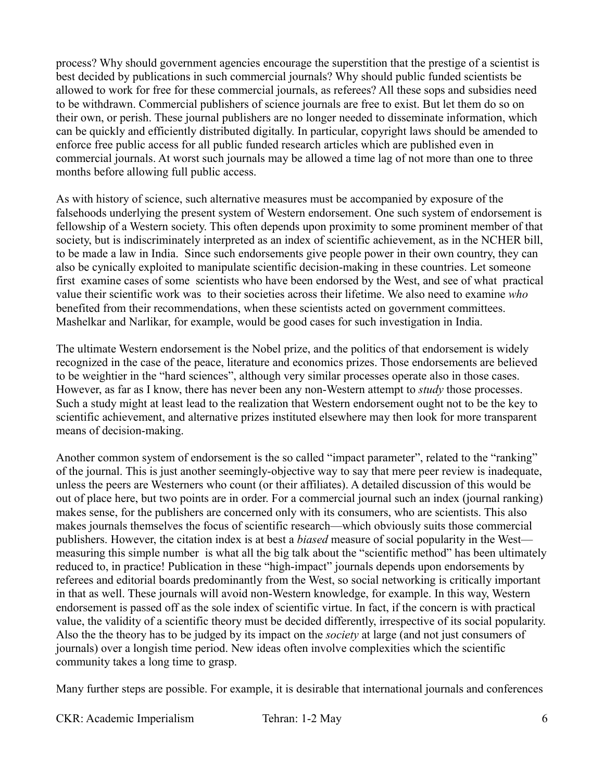process? Why should government agencies encourage the superstition that the prestige of a scientist is best decided by publications in such commercial journals? Why should public funded scientists be allowed to work for free for these commercial journals, as referees? All these sops and subsidies need to be withdrawn. Commercial publishers of science journals are free to exist. But let them do so on their own, or perish. These journal publishers are no longer needed to disseminate information, which can be quickly and efficiently distributed digitally. In particular, copyright laws should be amended to enforce free public access for all public funded research articles which are published even in commercial journals. At worst such journals may be allowed a time lag of not more than one to three months before allowing full public access.

As with history of science, such alternative measures must be accompanied by exposure of the falsehoods underlying the present system of Western endorsement. One such system of endorsement is fellowship of a Western society. This often depends upon proximity to some prominent member of that society, but is indiscriminately interpreted as an index of scientific achievement, as in the NCHER bill, to be made a law in India. Since such endorsements give people power in their own country, they can also be cynically exploited to manipulate scientific decision-making in these countries. Let someone first examine cases of some scientists who have been endorsed by the West, and see of what practical value their scientific work was to their societies across their lifetime. We also need to examine *who* benefited from their recommendations, when these scientists acted on government committees. Mashelkar and Narlikar, for example, would be good cases for such investigation in India.

The ultimate Western endorsement is the Nobel prize, and the politics of that endorsement is widely recognized in the case of the peace, literature and economics prizes. Those endorsements are believed to be weightier in the "hard sciences", although very similar processes operate also in those cases. However, as far as I know, there has never been any non-Western attempt to *study* those processes. Such a study might at least lead to the realization that Western endorsement ought not to be the key to scientific achievement, and alternative prizes instituted elsewhere may then look for more transparent means of decision-making.

Another common system of endorsement is the so called "impact parameter", related to the "ranking" of the journal. This is just another seemingly-objective way to say that mere peer review is inadequate, unless the peers are Westerners who count (or their affiliates). A detailed discussion of this would be out of place here, but two points are in order. For a commercial journal such an index (journal ranking) makes sense, for the publishers are concerned only with its consumers, who are scientists. This also makes journals themselves the focus of scientific research—which obviously suits those commercial publishers. However, the citation index is at best a *biased* measure of social popularity in the West measuring this simple number is what all the big talk about the "scientific method" has been ultimately reduced to, in practice! Publication in these "high-impact" journals depends upon endorsements by referees and editorial boards predominantly from the West, so social networking is critically important in that as well. These journals will avoid non-Western knowledge, for example. In this way, Western endorsement is passed off as the sole index of scientific virtue. In fact, if the concern is with practical value, the validity of a scientific theory must be decided differently, irrespective of its social popularity. Also the the theory has to be judged by its impact on the *society* at large (and not just consumers of journals) over a longish time period. New ideas often involve complexities which the scientific community takes a long time to grasp.

Many further steps are possible. For example, it is desirable that international journals and conferences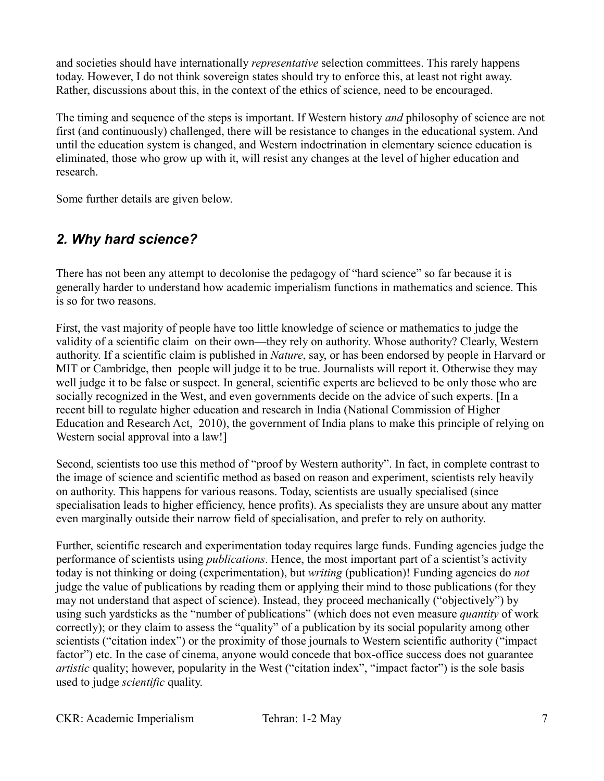and societies should have internationally *representative* selection committees. This rarely happens today. However, I do not think sovereign states should try to enforce this, at least not right away. Rather, discussions about this, in the context of the ethics of science, need to be encouraged.

The timing and sequence of the steps is important. If Western history *and* philosophy of science are not first (and continuously) challenged, there will be resistance to changes in the educational system. And until the education system is changed, and Western indoctrination in elementary science education is eliminated, those who grow up with it, will resist any changes at the level of higher education and research.

Some further details are given below.

### *2. Why hard science?*

There has not been any attempt to decolonise the pedagogy of "hard science" so far because it is generally harder to understand how academic imperialism functions in mathematics and science. This is so for two reasons.

First, the vast majority of people have too little knowledge of science or mathematics to judge the validity of a scientific claim on their own—they rely on authority. Whose authority? Clearly, Western authority. If a scientific claim is published in *Nature*, say, or has been endorsed by people in Harvard or MIT or Cambridge, then people will judge it to be true. Journalists will report it. Otherwise they may well judge it to be false or suspect. In general, scientific experts are believed to be only those who are socially recognized in the West, and even governments decide on the advice of such experts. [In a recent bill to regulate higher education and research in India (National Commission of Higher Education and Research Act, 2010), the government of India plans to make this principle of relying on Western social approval into a law!

Second, scientists too use this method of "proof by Western authority". In fact, in complete contrast to the image of science and scientific method as based on reason and experiment, scientists rely heavily on authority. This happens for various reasons. Today, scientists are usually specialised (since specialisation leads to higher efficiency, hence profits). As specialists they are unsure about any matter even marginally outside their narrow field of specialisation, and prefer to rely on authority.

Further, scientific research and experimentation today requires large funds. Funding agencies judge the performance of scientists using *publications*. Hence, the most important part of a scientist's activity today is not thinking or doing (experimentation), but *writing* (publication)! Funding agencies do *not* judge the value of publications by reading them or applying their mind to those publications (for they may not understand that aspect of science). Instead, they proceed mechanically ("objectively") by using such yardsticks as the "number of publications" (which does not even measure *quantity* of work correctly); or they claim to assess the "quality" of a publication by its social popularity among other scientists ("citation index") or the proximity of those journals to Western scientific authority ("impact factor") etc. In the case of cinema, anyone would concede that box-office success does not guarantee *artistic* quality; however, popularity in the West ("citation index", "impact factor") is the sole basis used to judge *scientific* quality.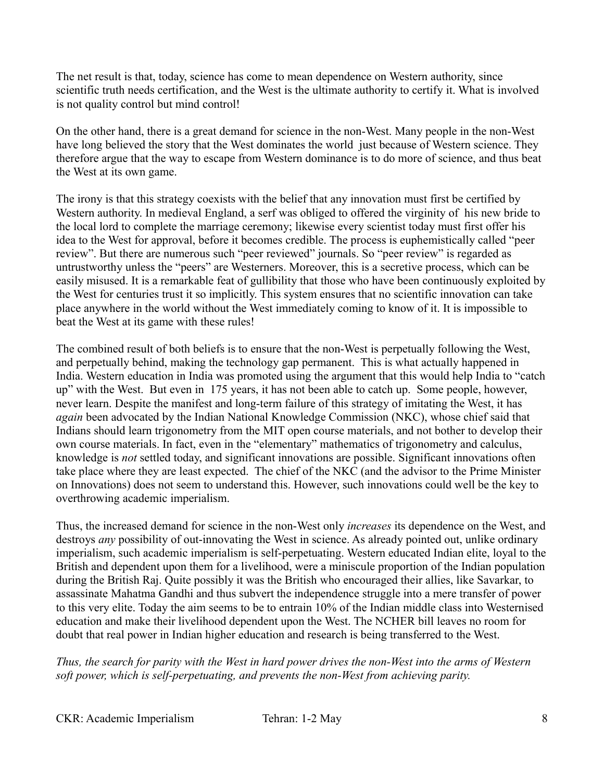The net result is that, today, science has come to mean dependence on Western authority, since scientific truth needs certification, and the West is the ultimate authority to certify it. What is involved is not quality control but mind control!

On the other hand, there is a great demand for science in the non-West. Many people in the non-West have long believed the story that the West dominates the world just because of Western science. They therefore argue that the way to escape from Western dominance is to do more of science, and thus beat the West at its own game.

The irony is that this strategy coexists with the belief that any innovation must first be certified by Western authority. In medieval England, a serf was obliged to offered the virginity of his new bride to the local lord to complete the marriage ceremony; likewise every scientist today must first offer his idea to the West for approval, before it becomes credible. The process is euphemistically called "peer review". But there are numerous such "peer reviewed" journals. So "peer review" is regarded as untrustworthy unless the "peers" are Westerners. Moreover, this is a secretive process, which can be easily misused. It is a remarkable feat of gullibility that those who have been continuously exploited by the West for centuries trust it so implicitly. This system ensures that no scientific innovation can take place anywhere in the world without the West immediately coming to know of it. It is impossible to beat the West at its game with these rules!

The combined result of both beliefs is to ensure that the non-West is perpetually following the West, and perpetually behind, making the technology gap permanent. This is what actually happened in India. Western education in India was promoted using the argument that this would help India to "catch up" with the West. But even in 175 years, it has not been able to catch up. Some people, however, never learn. Despite the manifest and long-term failure of this strategy of imitating the West, it has *again* been advocated by the Indian National Knowledge Commission (NKC), whose chief said that Indians should learn trigonometry from the MIT open course materials, and not bother to develop their own course materials. In fact, even in the "elementary" mathematics of trigonometry and calculus, knowledge is *not* settled today, and significant innovations are possible. Significant innovations often take place where they are least expected. The chief of the NKC (and the advisor to the Prime Minister on Innovations) does not seem to understand this. However, such innovations could well be the key to overthrowing academic imperialism.

Thus, the increased demand for science in the non-West only *increases* its dependence on the West, and destroys *any* possibility of out-innovating the West in science. As already pointed out, unlike ordinary imperialism, such academic imperialism is self-perpetuating. Western educated Indian elite, loyal to the British and dependent upon them for a livelihood, were a miniscule proportion of the Indian population during the British Raj. Quite possibly it was the British who encouraged their allies, like Savarkar, to assassinate Mahatma Gandhi and thus subvert the independence struggle into a mere transfer of power to this very elite. Today the aim seems to be to entrain 10% of the Indian middle class into Westernised education and make their livelihood dependent upon the West. The NCHER bill leaves no room for doubt that real power in Indian higher education and research is being transferred to the West.

*Thus, the search for parity with the West in hard power drives the non-West into the arms of Western soft power, which is self-perpetuating, and prevents the non-West from achieving parity.*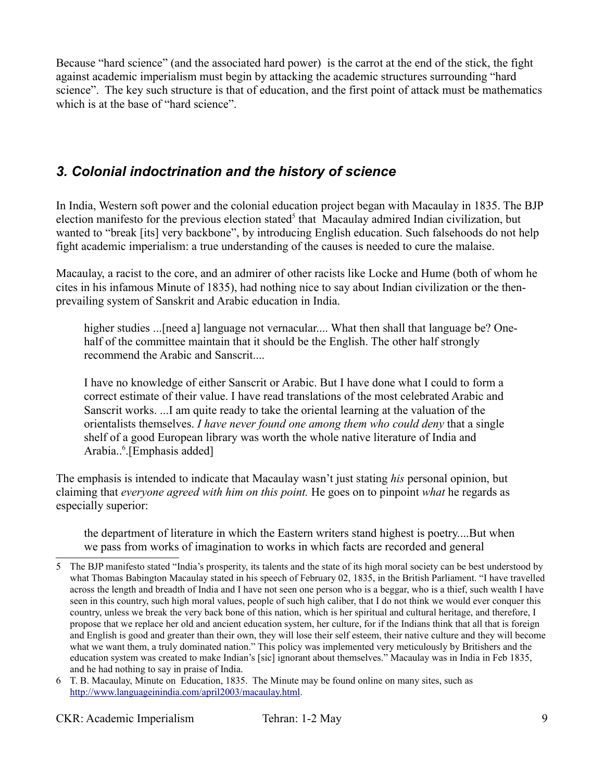Because "hard science" (and the associated hard power) is the carrot at the end of the stick, the fight against academic imperialism must begin by attacking the academic structures surrounding "hard science". The key such structure is that of education, and the first point of attack must be mathematics which is at the base of "hard science".

#### *3. Colonial indoctrination and the history of science*

In India, Western soft power and the colonial education project began with Macaulay in 1835. The BJP election manifesto for the previous election stated<sup>[5](#page-8-0)</sup> that Macaulay admired Indian civilization, but wanted to "break [its] very backbone", by introducing English education. Such falsehoods do not help fight academic imperialism: a true understanding of the causes is needed to cure the malaise.

Macaulay, a racist to the core, and an admirer of other racists like Locke and Hume (both of whom he cites in his infamous Minute of 1835), had nothing nice to say about Indian civilization or the thenprevailing system of Sanskrit and Arabic education in India.

higher studies ...[need a] language not vernacular.... What then shall that language be? Onehalf of the committee maintain that it should be the English. The other half strongly recommend the Arabic and Sanscrit....

I have no knowledge of either Sanscrit or Arabic. But I have done what I could to form a correct estimate of their value. I have read translations of the most celebrated Arabic and Sanscrit works. ...I am quite ready to take the oriental learning at the valuation of the orientalists themselves. *I have never found one among them who could deny* that a single shelf of a good European library was worth the whole native literature of India and Arabia..<sup>[6](#page-8-1)</sup>.[Emphasis added]

The emphasis is intended to indicate that Macaulay wasn't just stating *his* personal opinion, but claiming that *everyone agreed with him on this point.* He goes on to pinpoint *what* he regards as especially superior:

the department of literature in which the Eastern writers stand highest is poetry....But when we pass from works of imagination to works in which facts are recorded and general

<span id="page-8-0"></span><sup>5</sup> The BJP manifesto stated "India's prosperity, its talents and the state of its high moral society can be best understood by what Thomas Babington Macaulay stated in his speech of February 02, 1835, in the British Parliament. "I have travelled across the length and breadth of India and I have not seen one person who is a beggar, who is a thief, such wealth I have seen in this country, such high moral values, people of such high caliber, that I do not think we would ever conquer this country, unless we break the very back bone of this nation, which is her spiritual and cultural heritage, and therefore, I propose that we replace her old and ancient education system, her culture, for if the Indians think that all that is foreign and English is good and greater than their own, they will lose their self esteem, their native culture and they will become what we want them, a truly dominated nation." This policy was implemented very meticulously by Britishers and the education system was created to make Indian's [sic] ignorant about themselves." Macaulay was in India in Feb 1835, and he had nothing to say in praise of India.

<span id="page-8-1"></span><sup>6</sup> T. B. Macaulay, Minute on Education, 1835. The Minute may be found online on many sites, such as [http://www.languageinindia.com/april2003/macaulay.html.](http://www.languageinindia.com/april2003/macaulay.html)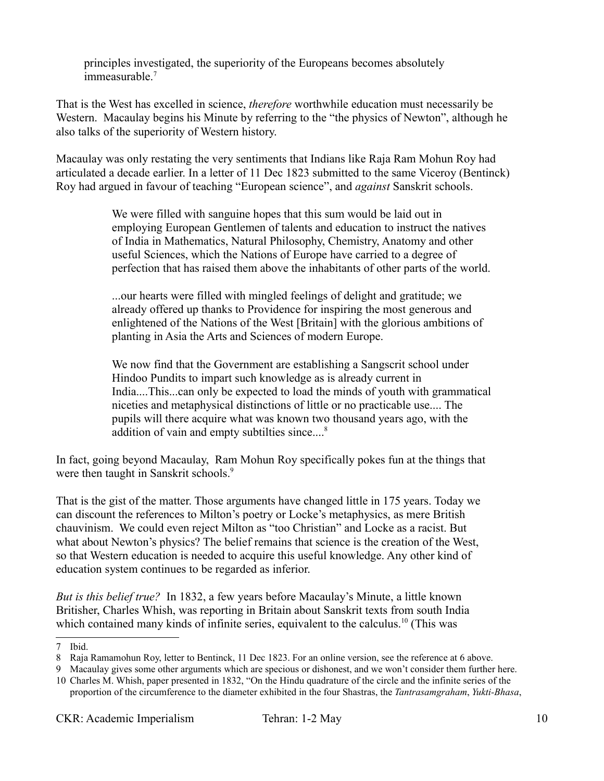principles investigated, the superiority of the Europeans becomes absolutely immeasurable.[7](#page-9-0)

That is the West has excelled in science, *therefore* worthwhile education must necessarily be Western. Macaulay begins his Minute by referring to the "the physics of Newton", although he also talks of the superiority of Western history.

Macaulay was only restating the very sentiments that Indians like Raja Ram Mohun Roy had articulated a decade earlier. In a letter of 11 Dec 1823 submitted to the same Viceroy (Bentinck) Roy had argued in favour of teaching "European science", and *against* Sanskrit schools.

> We were filled with sanguine hopes that this sum would be laid out in employing European Gentlemen of talents and education to instruct the natives of India in Mathematics, Natural Philosophy, Chemistry, Anatomy and other useful Sciences, which the Nations of Europe have carried to a degree of perfection that has raised them above the inhabitants of other parts of the world.

...our hearts were filled with mingled feelings of delight and gratitude; we already offered up thanks to Providence for inspiring the most generous and enlightened of the Nations of the West [Britain] with the glorious ambitions of planting in Asia the Arts and Sciences of modern Europe.

We now find that the Government are establishing a Sangscrit school under Hindoo Pundits to impart such knowledge as is already current in India....This...can only be expected to load the minds of youth with grammatical niceties and metaphysical distinctions of little or no practicable use.... The pupils will there acquire what was known two thousand years ago, with the addition of vain and empty subtilities since....<sup>[8](#page-9-1)</sup>

In fact, going beyond Macaulay, Ram Mohun Roy specifically pokes fun at the things that were then taught in Sanskrit schools.<sup>[9](#page-9-2)</sup>

That is the gist of the matter. Those arguments have changed little in 175 years. Today we can discount the references to Milton's poetry or Locke's metaphysics, as mere British chauvinism. We could even reject Milton as "too Christian" and Locke as a racist. But what about Newton's physics? The belief remains that science is the creation of the West, so that Western education is needed to acquire this useful knowledge. Any other kind of education system continues to be regarded as inferior.

*But is this belief true?* In 1832, a few years before Macaulay's Minute, a little known Britisher, Charles Whish, was reporting in Britain about Sanskrit texts from south India which contained many kinds of infinite series, equivalent to the calculus.<sup>[10](#page-9-3)</sup> (This was

<span id="page-9-0"></span><sup>7</sup> Ibid.

<span id="page-9-1"></span><sup>8</sup> Raja Ramamohun Roy, letter to Bentinck, 11 Dec 1823. For an online version, see the reference at 6 above.

<span id="page-9-2"></span><sup>9</sup> Macaulay gives some other arguments which are specious or dishonest, and we won't consider them further here.

<span id="page-9-3"></span><sup>10</sup> Charles M. Whish, paper presented in 1832, "On the Hindu quadrature of the circle and the infinite series of the proportion of the circumference to the diameter exhibited in the four Shastras, the *Tantrasamgraham*, *Yukti-Bhasa*,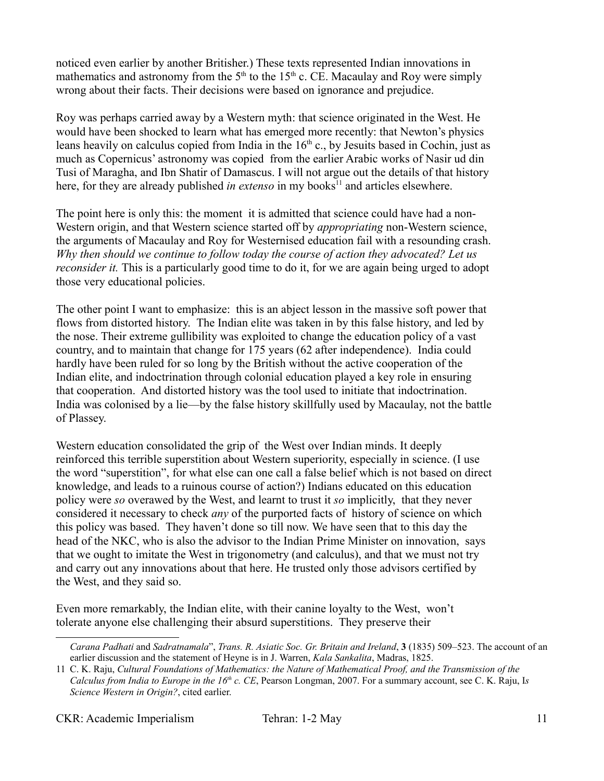noticed even earlier by another Britisher.) These texts represented Indian innovations in mathematics and astronomy from the  $5<sup>th</sup>$  to the 15<sup>th</sup> c. CE. Macaulay and Roy were simply wrong about their facts. Their decisions were based on ignorance and prejudice.

Roy was perhaps carried away by a Western myth: that science originated in the West. He would have been shocked to learn what has emerged more recently: that Newton's physics leans heavily on calculus copied from India in the  $16<sup>th</sup>$  c., by Jesuits based in Cochin, just as much as Copernicus' astronomy was copied from the earlier Arabic works of Nasir ud din Tusi of Maragha, and Ibn Shatir of Damascus. I will not argue out the details of that history here, for they are already published *in extenso* in my books<sup>[11](#page-10-0)</sup> and articles elsewhere.

The point here is only this: the moment it is admitted that science could have had a non-Western origin, and that Western science started off by *appropriating* non-Western science, the arguments of Macaulay and Roy for Westernised education fail with a resounding crash. *Why then should we continue to follow today the course of action they advocated? Let us reconsider it.* This is a particularly good time to do it, for we are again being urged to adopt those very educational policies.

The other point I want to emphasize: this is an abject lesson in the massive soft power that flows from distorted history. The Indian elite was taken in by this false history, and led by the nose. Their extreme gullibility was exploited to change the education policy of a vast country, and to maintain that change for 175 years (62 after independence). India could hardly have been ruled for so long by the British without the active cooperation of the Indian elite, and indoctrination through colonial education played a key role in ensuring that cooperation. And distorted history was the tool used to initiate that indoctrination. India was colonised by a lie—by the false history skillfully used by Macaulay, not the battle of Plassey.

Western education consolidated the grip of the West over Indian minds. It deeply reinforced this terrible superstition about Western superiority, especially in science. (I use the word "superstition", for what else can one call a false belief which is not based on direct knowledge, and leads to a ruinous course of action?) Indians educated on this education policy were *so* overawed by the West, and learnt to trust it *so* implicitly, that they never considered it necessary to check *any* of the purported facts of history of science on which this policy was based. They haven't done so till now. We have seen that to this day the head of the NKC, who is also the advisor to the Indian Prime Minister on innovation, says that we ought to imitate the West in trigonometry (and calculus), and that we must not try and carry out any innovations about that here. He trusted only those advisors certified by the West, and they said so.

Even more remarkably, the Indian elite, with their canine loyalty to the West, won't tolerate anyone else challenging their absurd superstitions. They preserve their

*Carana Padhati* and *Sadratnamala*", *Trans. R. Asiatic Soc. Gr. Britain and Ireland*, **3** (1835) 509–523. The account of an earlier discussion and the statement of Heyne is in J. Warren, *Kala Sankalita*, Madras, 1825.

<span id="page-10-0"></span><sup>11</sup> C. K. Raju, *Cultural Foundations of Mathematics: the Nature of Mathematical Proof, and the Transmission of the Calculus from India to Europe in the 16th c. CE*, Pearson Longman, 2007. For a summary account, see C. K. Raju, I*s Science Western in Origin?*, cited earlier.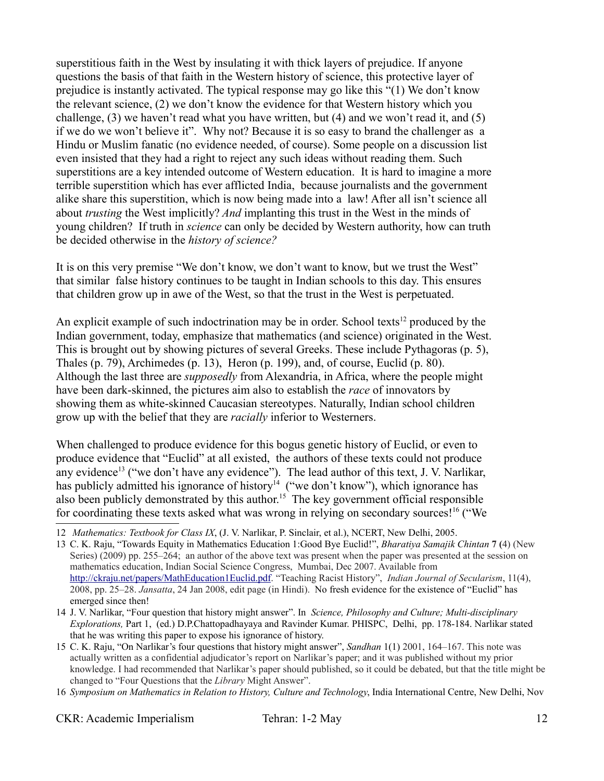superstitious faith in the West by insulating it with thick layers of prejudice. If anyone questions the basis of that faith in the Western history of science, this protective layer of prejudice is instantly activated. The typical response may go like this "(1) We don't know the relevant science, (2) we don't know the evidence for that Western history which you challenge, (3) we haven't read what you have written, but (4) and we won't read it, and (5) if we do we won't believe it". Why not? Because it is so easy to brand the challenger as a Hindu or Muslim fanatic (no evidence needed, of course). Some people on a discussion list even insisted that they had a right to reject any such ideas without reading them. Such superstitions are a key intended outcome of Western education. It is hard to imagine a more terrible superstition which has ever afflicted India, because journalists and the government alike share this superstition, which is now being made into a law! After all isn't science all about *trusting* the West implicitly? *And* implanting this trust in the West in the minds of young children? If truth in *science* can only be decided by Western authority, how can truth be decided otherwise in the *history of science?*

It is on this very premise "We don't know, we don't want to know, but we trust the West" that similar false history continues to be taught in Indian schools to this day. This ensures that children grow up in awe of the West, so that the trust in the West is perpetuated.

An explicit example of such indoctrination may be in order. School texts<sup>[12](#page-11-0)</sup> produced by the Indian government, today, emphasize that mathematics (and science) originated in the West. This is brought out by showing pictures of several Greeks. These include Pythagoras (p. 5), Thales (p. 79), Archimedes (p. 13), Heron (p. 199), and, of course, Euclid (p. 80). Although the last three are *supposedly* from Alexandria, in Africa, where the people might have been dark-skinned, the pictures aim also to establish the *race* of innovators by showing them as white-skinned Caucasian stereotypes. Naturally, Indian school children grow up with the belief that they are *racially* inferior to Westerners.

When challenged to produce evidence for this bogus genetic history of Euclid, or even to produce evidence that "Euclid" at all existed, the authors of these texts could not produce any evidence<sup>[13](#page-11-1)</sup> ("we don't have any evidence"). The lead author of this text, J. V. Narlikar, has publicly admitted his ignorance of history<sup>[14](#page-11-2)</sup> ("we don't know"), which ignorance has also been publicly demonstrated by this author.<sup>[15](#page-11-3)</sup> The key government official responsible for coordinating these texts asked what was wrong in relying on secondary sources!<sup>[16](#page-11-4)</sup> ("We

<span id="page-11-0"></span><sup>12</sup> *Mathematics: Textbook for Class IX*, (J. V. Narlikar, P. Sinclair, et al.), NCERT, New Delhi, 2005.

<span id="page-11-1"></span><sup>13</sup> C. K. Raju, "Towards Equity in Mathematics Education 1:Good Bye Euclid!", *Bharatiya Samajik Chintan* **7 (**4) (New Series) (2009) pp. 255–264; an author of the above text was present when the paper was presented at the session on mathematics education, Indian Social Science Congress, Mumbai, Dec 2007. Available from [http://ckraju.net/papers/MathEducation1Euclid.pdf.](http://ckraju.net/papers/MathEducation1Euclid.pdf) "Teaching Racist History", *Indian Journal of Secularism*, 11(4), 2008, pp. 25–28. *Jansatta*, 24 Jan 2008, edit page (in Hindi). No fresh evidence for the existence of "Euclid" has emerged since then!

<span id="page-11-2"></span><sup>14</sup> J. V. Narlikar, "Four question that history might answer". In *Science, Philosophy and Culture; Multi-disciplinary Explorations,* Part 1, (ed.) D.P.Chattopadhayaya and Ravinder Kumar. PHISPC, Delhi, pp. 178-184. Narlikar stated that he was writing this paper to expose his ignorance of history.

<span id="page-11-3"></span><sup>15</sup> C. K. Raju, "On Narlikar's four questions that history might answer", *Sandhan* 1(1) 2001, 164–167. This note was actually written as a confidential adjudicator's report on Narlikar's paper; and it was published without my prior knowledge. I had recommended that Narlikar's paper should published, so it could be debated, but that the title might be changed to "Four Questions that the *Library* Might Answer".

<span id="page-11-4"></span><sup>16</sup> *Symposium on Mathematics in Relation to History, Culture and Technology*, India International Centre, New Delhi, Nov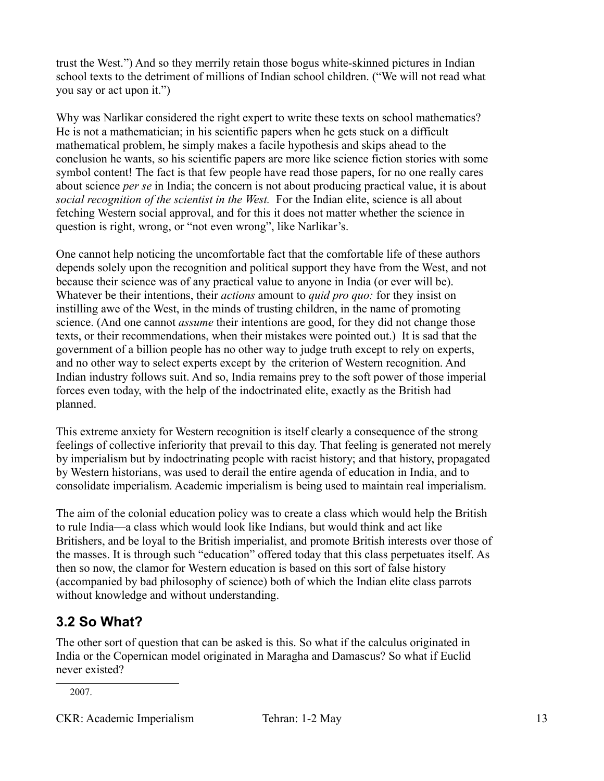trust the West.") And so they merrily retain those bogus white-skinned pictures in Indian school texts to the detriment of millions of Indian school children. ("We will not read what you say or act upon it.")

Why was Narlikar considered the right expert to write these texts on school mathematics? He is not a mathematician; in his scientific papers when he gets stuck on a difficult mathematical problem, he simply makes a facile hypothesis and skips ahead to the conclusion he wants, so his scientific papers are more like science fiction stories with some symbol content! The fact is that few people have read those papers, for no one really cares about science *per se* in India; the concern is not about producing practical value, it is about *social recognition of the scientist in the West.* For the Indian elite, science is all about fetching Western social approval, and for this it does not matter whether the science in question is right, wrong, or "not even wrong", like Narlikar's.

One cannot help noticing the uncomfortable fact that the comfortable life of these authors depends solely upon the recognition and political support they have from the West, and not because their science was of any practical value to anyone in India (or ever will be). Whatever be their intentions, their *actions* amount to *quid pro quo:* for they insist on instilling awe of the West, in the minds of trusting children, in the name of promoting science. (And one cannot *assume* their intentions are good, for they did not change those texts, or their recommendations, when their mistakes were pointed out.) It is sad that the government of a billion people has no other way to judge truth except to rely on experts, and no other way to select experts except by the criterion of Western recognition. And Indian industry follows suit. And so, India remains prey to the soft power of those imperial forces even today, with the help of the indoctrinated elite, exactly as the British had planned.

This extreme anxiety for Western recognition is itself clearly a consequence of the strong feelings of collective inferiority that prevail to this day. That feeling is generated not merely by imperialism but by indoctrinating people with racist history; and that history, propagated by Western historians, was used to derail the entire agenda of education in India, and to consolidate imperialism. Academic imperialism is being used to maintain real imperialism.

The aim of the colonial education policy was to create a class which would help the British to rule India—a class which would look like Indians, but would think and act like Britishers, and be loyal to the British imperialist, and promote British interests over those of the masses. It is through such "education" offered today that this class perpetuates itself. As then so now, the clamor for Western education is based on this sort of false history (accompanied by bad philosophy of science) both of which the Indian elite class parrots without knowledge and without understanding.

#### **3.2 So What?**

The other sort of question that can be asked is this. So what if the calculus originated in India or the Copernican model originated in Maragha and Damascus? So what if Euclid never existed?

2007.

CKR: Academic Imperialism Tehran: 1-2 May 13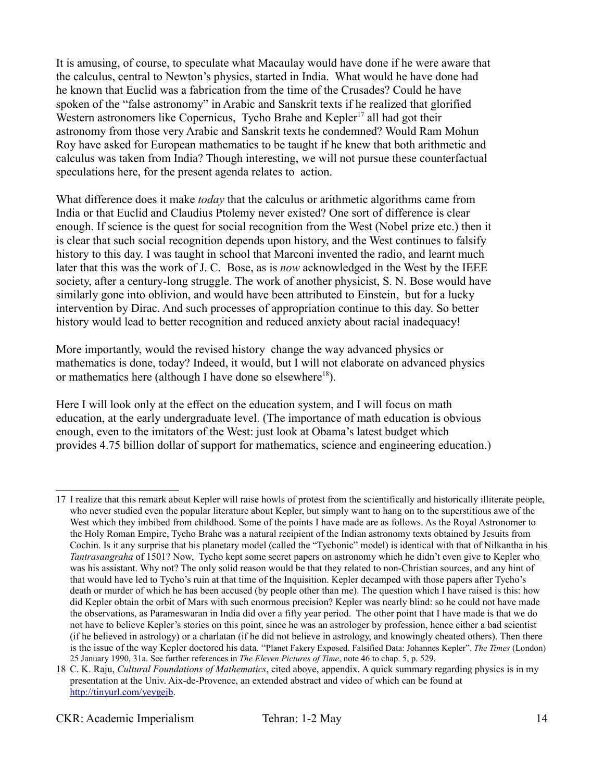It is amusing, of course, to speculate what Macaulay would have done if he were aware that the calculus, central to Newton's physics, started in India. What would he have done had he known that Euclid was a fabrication from the time of the Crusades? Could he have spoken of the "false astronomy" in Arabic and Sanskrit texts if he realized that glorified Western astronomers like Copernicus, Tycho Brahe and Kepler<sup>[17](#page-13-0)</sup> all had got their astronomy from those very Arabic and Sanskrit texts he condemned? Would Ram Mohun Roy have asked for European mathematics to be taught if he knew that both arithmetic and calculus was taken from India? Though interesting, we will not pursue these counterfactual speculations here, for the present agenda relates to action.

What difference does it make *today* that the calculus or arithmetic algorithms came from India or that Euclid and Claudius Ptolemy never existed? One sort of difference is clear enough. If science is the quest for social recognition from the West (Nobel prize etc.) then it is clear that such social recognition depends upon history, and the West continues to falsify history to this day. I was taught in school that Marconi invented the radio, and learnt much later that this was the work of J. C. Bose, as is *now* acknowledged in the West by the IEEE society, after a century-long struggle. The work of another physicist, S. N. Bose would have similarly gone into oblivion, and would have been attributed to Einstein, but for a lucky intervention by Dirac. And such processes of appropriation continue to this day. So better history would lead to better recognition and reduced anxiety about racial inadequacy!

More importantly, would the revised history change the way advanced physics or mathematics is done, today? Indeed, it would, but I will not elaborate on advanced physics or mathematics here (although I have done so elsewhere<sup>[18](#page-13-1)</sup>).

Here I will look only at the effect on the education system, and I will focus on math education, at the early undergraduate level. (The importance of math education is obvious enough, even to the imitators of the West: just look at Obama's latest budget which provides 4.75 billion dollar of support for mathematics, science and engineering education.)

<span id="page-13-0"></span><sup>17</sup> I realize that this remark about Kepler will raise howls of protest from the scientifically and historically illiterate people, who never studied even the popular literature about Kepler, but simply want to hang on to the superstitious awe of the West which they imbibed from childhood. Some of the points I have made are as follows. As the Royal Astronomer to the Holy Roman Empire, Tycho Brahe was a natural recipient of the Indian astronomy texts obtained by Jesuits from Cochin. Is it any surprise that his planetary model (called the "Tychonic" model) is identical with that of Nilkantha in his *Tantrasangraha* of 1501? Now, Tycho kept some secret papers on astronomy which he didn't even give to Kepler who was his assistant. Why not? The only solid reason would be that they related to non-Christian sources, and any hint of that would have led to Tycho's ruin at that time of the Inquisition. Kepler decamped with those papers after Tycho's death or murder of which he has been accused (by people other than me). The question which I have raised is this: how did Kepler obtain the orbit of Mars with such enormous precision? Kepler was nearly blind: so he could not have made the observations, as Parameswaran in India did over a fifty year period. The other point that I have made is that we do not have to believe Kepler's stories on this point, since he was an astrologer by profession, hence either a bad scientist (if he believed in astrology) or a charlatan (if he did not believe in astrology, and knowingly cheated others). Then there is the issue of the way Kepler doctored his data. "Planet Fakery Exposed. Falsified Data: Johannes Kepler". *The Times* (London) 25 January 1990, 31a. See further references in *The Eleven Pictures of Time*, note 46 to chap. 5, p. 529.

<span id="page-13-1"></span><sup>18</sup> C. K. Raju, *Cultural Foundations of Mathematics*, cited above, appendix. A quick summary regarding physics is in my presentation at the Univ. Aix-de-Provence, an extended abstract and video of which can be found at [http://tinyurl.com/yeygejb.](http://tinyurl.com/yeygejb)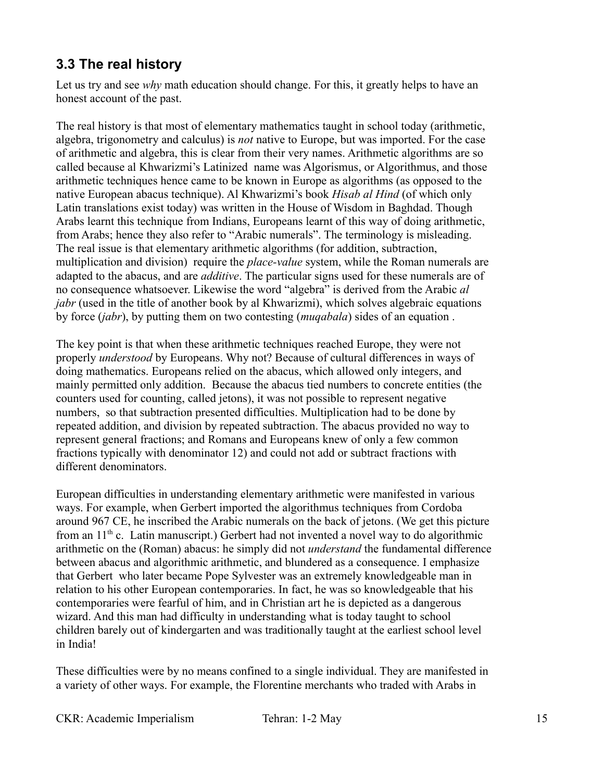# **3.3 The real history**

Let us try and see *why* math education should change. For this, it greatly helps to have an honest account of the past.

The real history is that most of elementary mathematics taught in school today (arithmetic, algebra, trigonometry and calculus) is *not* native to Europe, but was imported. For the case of arithmetic and algebra, this is clear from their very names. Arithmetic algorithms are so called because al Khwarizmi's Latinized name was Algorismus, or Algorithmus, and those arithmetic techniques hence came to be known in Europe as algorithms (as opposed to the native European abacus technique). Al Khwarizmi's book *Hisab al Hind* (of which only Latin translations exist today) was written in the House of Wisdom in Baghdad. Though Arabs learnt this technique from Indians, Europeans learnt of this way of doing arithmetic, from Arabs; hence they also refer to "Arabic numerals". The terminology is misleading. The real issue is that elementary arithmetic algorithms (for addition, subtraction, multiplication and division) require the *place-value* system, while the Roman numerals are adapted to the abacus, and are *additive*. The particular signs used for these numerals are of no consequence whatsoever. Likewise the word "algebra" is derived from the Arabic *al jabr* (used in the title of another book by al Khwarizmi), which solves algebraic equations by force (*jabr*), by putting them on two contesting (*muqabala*) sides of an equation .

The key point is that when these arithmetic techniques reached Europe, they were not properly *understood* by Europeans. Why not? Because of cultural differences in ways of doing mathematics. Europeans relied on the abacus, which allowed only integers, and mainly permitted only addition. Because the abacus tied numbers to concrete entities (the counters used for counting, called jetons), it was not possible to represent negative numbers, so that subtraction presented difficulties. Multiplication had to be done by repeated addition, and division by repeated subtraction. The abacus provided no way to represent general fractions; and Romans and Europeans knew of only a few common fractions typically with denominator 12) and could not add or subtract fractions with different denominators.

European difficulties in understanding elementary arithmetic were manifested in various ways. For example, when Gerbert imported the algorithmus techniques from Cordoba around 967 CE, he inscribed the Arabic numerals on the back of jetons. (We get this picture from an  $11<sup>th</sup>$  c. Latin manuscript.) Gerbert had not invented a novel way to do algorithmic arithmetic on the (Roman) abacus: he simply did not *understand* the fundamental difference between abacus and algorithmic arithmetic, and blundered as a consequence. I emphasize that Gerbert who later became Pope Sylvester was an extremely knowledgeable man in relation to his other European contemporaries. In fact, he was so knowledgeable that his contemporaries were fearful of him, and in Christian art he is depicted as a dangerous wizard. And this man had difficulty in understanding what is today taught to school children barely out of kindergarten and was traditionally taught at the earliest school level in India!

These difficulties were by no means confined to a single individual. They are manifested in a variety of other ways. For example, the Florentine merchants who traded with Arabs in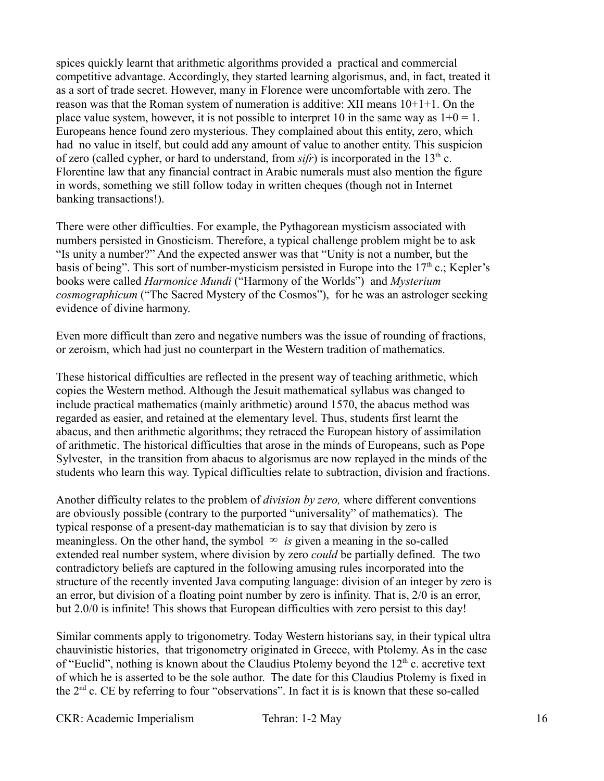spices quickly learnt that arithmetic algorithms provided a practical and commercial competitive advantage. Accordingly, they started learning algorismus, and, in fact, treated it as a sort of trade secret. However, many in Florence were uncomfortable with zero. The reason was that the Roman system of numeration is additive: XII means  $10+1+1$ . On the place value system, however, it is not possible to interpret 10 in the same way as  $1+0=1$ . Europeans hence found zero mysterious. They complained about this entity, zero, which had no value in itself, but could add any amount of value to another entity. This suspicion of zero (called cypher, or hard to understand, from  $s$ *ifr*) is incorporated in the 13<sup>th</sup> c. Florentine law that any financial contract in Arabic numerals must also mention the figure in words, something we still follow today in written cheques (though not in Internet banking transactions!).

There were other difficulties. For example, the Pythagorean mysticism associated with numbers persisted in Gnosticism. Therefore, a typical challenge problem might be to ask "Is unity a number?" And the expected answer was that "Unity is not a number, but the basis of being". This sort of number-mysticism persisted in Europe into the  $17<sup>th</sup>$  c.; Kepler's books were called *Harmonice Mundi* ("Harmony of the Worlds") and *Mysterium cosmographicum* ("The Sacred Mystery of the Cosmos"), for he was an astrologer seeking evidence of divine harmony.

Even more difficult than zero and negative numbers was the issue of rounding of fractions, or zeroism, which had just no counterpart in the Western tradition of mathematics.

These historical difficulties are reflected in the present way of teaching arithmetic, which copies the Western method. Although the Jesuit mathematical syllabus was changed to include practical mathematics (mainly arithmetic) around 1570, the abacus method was regarded as easier, and retained at the elementary level. Thus, students first learnt the abacus, and then arithmetic algorithms; they retraced the European history of assimilation of arithmetic. The historical difficulties that arose in the minds of Europeans, such as Pope Sylvester, in the transition from abacus to algorismus are now replayed in the minds of the students who learn this way. Typical difficulties relate to subtraction, division and fractions.

Another difficulty relates to the problem of *division by zero,* where different conventions are obviously possible (contrary to the purported "universality" of mathematics). The typical response of a present-day mathematician is to say that division by zero is meaningless. On the other hand, the symbol  $\infty$  *is* given a meaning in the so-called extended real number system, where division by zero *could* be partially defined. The two contradictory beliefs are captured in the following amusing rules incorporated into the structure of the recently invented Java computing language: division of an integer by zero is an error, but division of a floating point number by zero is infinity. That is, 2/0 is an error, but 2.0/0 is infinite! This shows that European difficulties with zero persist to this day!

Similar comments apply to trigonometry. Today Western historians say, in their typical ultra chauvinistic histories, that trigonometry originated in Greece, with Ptolemy. As in the case of "Euclid", nothing is known about the Claudius Ptolemy beyond the  $12<sup>th</sup>$  c. accretive text of which he is asserted to be the sole author. The date for this Claudius Ptolemy is fixed in the  $2<sup>nd</sup>$  c. CE by referring to four "observations". In fact it is is known that these so-called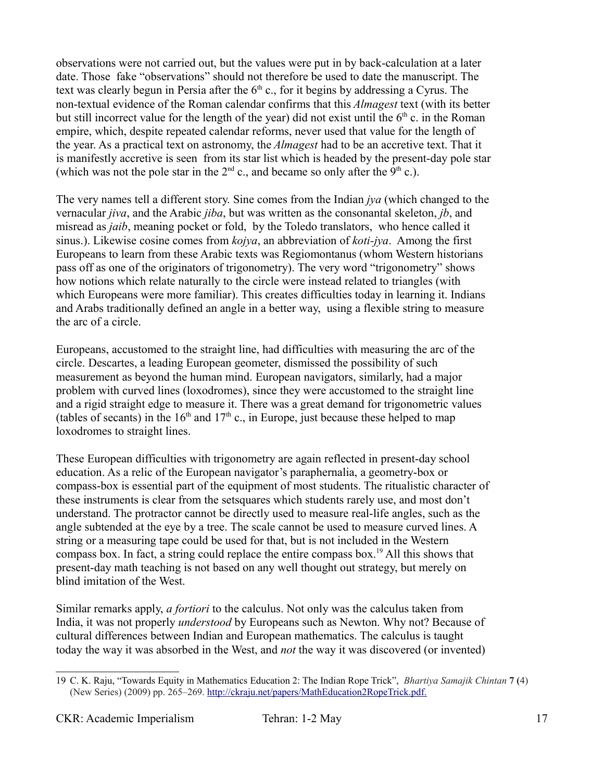observations were not carried out, but the values were put in by back-calculation at a later date. Those fake "observations" should not therefore be used to date the manuscript. The text was clearly begun in Persia after the  $6<sup>th</sup>$  c., for it begins by addressing a Cyrus. The non-textual evidence of the Roman calendar confirms that this *Almagest* text (with its better but still incorrect value for the length of the year) did not exist until the  $6<sup>th</sup>$  c. in the Roman empire, which, despite repeated calendar reforms, never used that value for the length of the year. As a practical text on astronomy, the *Almagest* had to be an accretive text. That it is manifestly accretive is seen from its star list which is headed by the present-day pole star (which was not the pole star in the  $2<sup>nd</sup>$  c., and became so only after the  $9<sup>th</sup>$  c.).

The very names tell a different story. Sine comes from the Indian *jya* (which changed to the vernacular *jiva*, and the Arabic *jiba*, but was written as the consonantal skeleton, *jb*, and misread as *jaib*, meaning pocket or fold, by the Toledo translators, who hence called it sinus.). Likewise cosine comes from *kojya*, an abbreviation of *koti-jya*. Among the first Europeans to learn from these Arabic texts was Regiomontanus (whom Western historians pass off as one of the originators of trigonometry). The very word "trigonometry" shows how notions which relate naturally to the circle were instead related to triangles (with which Europeans were more familiar). This creates difficulties today in learning it. Indians and Arabs traditionally defined an angle in a better way, using a flexible string to measure the arc of a circle.

Europeans, accustomed to the straight line, had difficulties with measuring the arc of the circle. Descartes, a leading European geometer, dismissed the possibility of such measurement as beyond the human mind. European navigators, similarly, had a major problem with curved lines (loxodromes), since they were accustomed to the straight line and a rigid straight edge to measure it. There was a great demand for trigonometric values (tables of secants) in the  $16<sup>th</sup>$  and  $17<sup>th</sup>$  c., in Europe, just because these helped to map loxodromes to straight lines.

These European difficulties with trigonometry are again reflected in present-day school education. As a relic of the European navigator's paraphernalia, a geometry-box or compass-box is essential part of the equipment of most students. The ritualistic character of these instruments is clear from the setsquares which students rarely use, and most don't understand. The protractor cannot be directly used to measure real-life angles, such as the angle subtended at the eye by a tree. The scale cannot be used to measure curved lines. A string or a measuring tape could be used for that, but is not included in the Western compass box. In fact, a string could replace the entire compass box.<sup>[19](#page-16-0)</sup> All this shows that present-day math teaching is not based on any well thought out strategy, but merely on blind imitation of the West.

Similar remarks apply, *a fortiori* to the calculus. Not only was the calculus taken from India, it was not properly *understood* by Europeans such as Newton. Why not? Because of cultural differences between Indian and European mathematics. The calculus is taught today the way it was absorbed in the West, and *not* the way it was discovered (or invented)

<span id="page-16-0"></span><sup>19</sup> C. K. Raju, "Towards Equity in Mathematics Education 2: The Indian Rope Trick", *Bhartiya Samajik Chintan* **7 (**4) (New Series) (2009) pp. 265–269.<http://ckraju.net/papers/MathEducation2RopeTrick.pdf>[.](http://ckraju.net/papers/MathEducation1Euclid.pdf)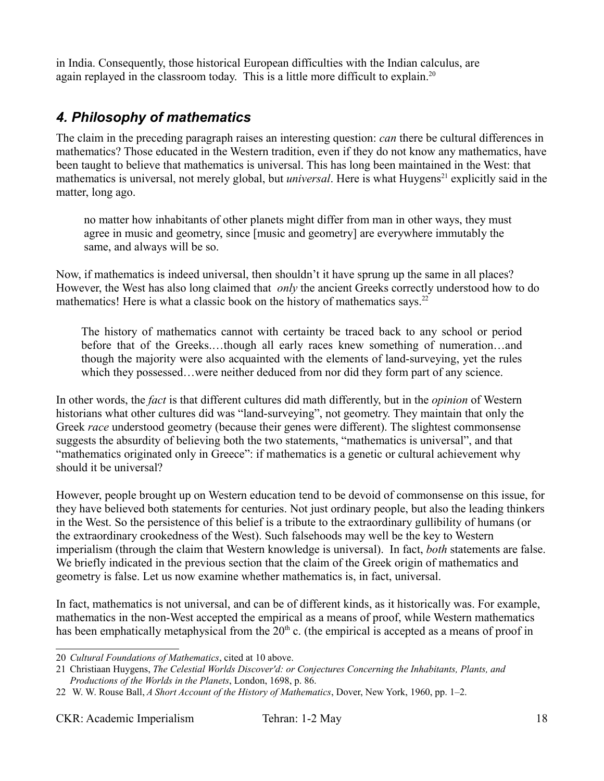in India. Consequently, those historical European difficulties with the Indian calculus, are again replayed in the classroom today. This is a little more difficult to explain.<sup>[20](#page-17-0)</sup>

### *4. Philosophy of mathematics*

The claim in the preceding paragraph raises an interesting question: *can* there be cultural differences in mathematics? Those educated in the Western tradition, even if they do not know any mathematics, have been taught to believe that mathematics is universal. This has long been maintained in the West: that mathematics is universal, not merely global, but *universal*. Here is what Huygens<sup>[21](#page-17-1)</sup> explicitly said in the matter, long ago.

no matter how inhabitants of other planets might differ from man in other ways, they must agree in music and geometry, since [music and geometry] are everywhere immutably the same, and always will be so.

Now, if mathematics is indeed universal, then shouldn't it have sprung up the same in all places? However, the West has also long claimed that *only* the ancient Greeks correctly understood how to do mathematics! Here is what a classic book on the history of mathematics says.<sup>[22](#page-17-2)</sup>

The history of mathematics cannot with certainty be traced back to any school or period before that of the Greeks.…though all early races knew something of numeration…and though the majority were also acquainted with the elements of land-surveying, yet the rules which they possessed...were neither deduced from nor did they form part of any science.

In other words, the *fact* is that different cultures did math differently, but in the *opinion* of Western historians what other cultures did was "land-surveying", not geometry. They maintain that only the Greek *race* understood geometry (because their genes were different). The slightest commonsense suggests the absurdity of believing both the two statements, "mathematics is universal", and that "mathematics originated only in Greece": if mathematics is a genetic or cultural achievement why should it be universal?

However, people brought up on Western education tend to be devoid of commonsense on this issue, for they have believed both statements for centuries. Not just ordinary people, but also the leading thinkers in the West. So the persistence of this belief is a tribute to the extraordinary gullibility of humans (or the extraordinary crookedness of the West). Such falsehoods may well be the key to Western imperialism (through the claim that Western knowledge is universal). In fact, *both* statements are false. We briefly indicated in the previous section that the claim of the Greek origin of mathematics and geometry is false. Let us now examine whether mathematics is, in fact, universal.

In fact, mathematics is not universal, and can be of different kinds, as it historically was. For example, mathematics in the non-West accepted the empirical as a means of proof, while Western mathematics has been emphatically metaphysical from the  $20<sup>th</sup>$  c. (the empirical is accepted as a means of proof in

<span id="page-17-0"></span><sup>20</sup> *Cultural Foundations of Mathematics*, cited at 10 above.

<span id="page-17-1"></span><sup>21</sup> Christiaan Huygens, *The Celestial Worlds Discover'd: or Conjectures Concerning the Inhabitants, Plants, and Productions of the Worlds in the Planets*, London, 1698, p. 86.

<span id="page-17-2"></span><sup>22</sup> W. W. Rouse Ball, *A Short Account of the History of Mathematics*, Dover, New York, 1960, pp. 1–2.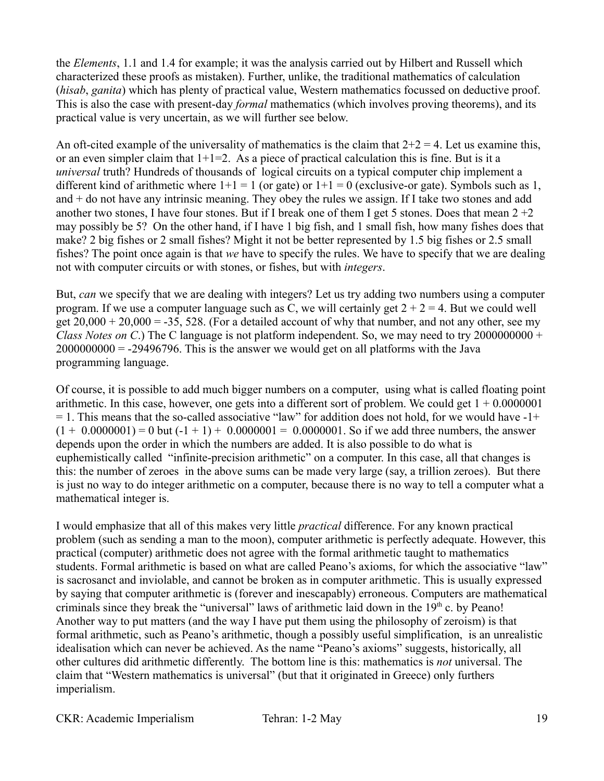the *Elements*, 1.1 and 1.4 for example; it was the analysis carried out by Hilbert and Russell which characterized these proofs as mistaken). Further, unlike, the traditional mathematics of calculation (*hisab*, *ganita*) which has plenty of practical value, Western mathematics focussed on deductive proof. This is also the case with present-day *formal* mathematics (which involves proving theorems), and its practical value is very uncertain, as we will further see below.

An oft-cited example of the universality of mathematics is the claim that  $2+2 = 4$ . Let us examine this, or an even simpler claim that  $1+1=2$ . As a piece of practical calculation this is fine. But is it a *universal* truth? Hundreds of thousands of logical circuits on a typical computer chip implement a different kind of arithmetic where  $1+1 = 1$  (or gate) or  $1+1 = 0$  (exclusive-or gate). Symbols such as 1, and + do not have any intrinsic meaning. They obey the rules we assign. If I take two stones and add another two stones, I have four stones. But if I break one of them I get 5 stones. Does that mean  $2+2$ may possibly be 5? On the other hand, if I have 1 big fish, and 1 small fish, how many fishes does that make? 2 big fishes or 2 small fishes? Might it not be better represented by 1.5 big fishes or 2.5 small fishes? The point once again is that *we* have to specify the rules. We have to specify that we are dealing not with computer circuits or with stones, or fishes, but with *integers*.

But, *can* we specify that we are dealing with integers? Let us try adding two numbers using a computer program. If we use a computer language such as C, we will certainly get  $2 + 2 = 4$ . But we could well get  $20,000 + 20,000 = -35,528$ . (For a detailed account of why that number, and not any other, see my *Class Notes on C*.) The C language is not platform independent. So, we may need to try 2000000000 +  $2000000000 = -29496796$ . This is the answer we would get on all platforms with the Java programming language.

Of course, it is possible to add much bigger numbers on a computer, using what is called floating point arithmetic. In this case, however, one gets into a different sort of problem. We could get  $1 + 0.0000001$  $= 1$ . This means that the so-called associative "law" for addition does not hold, for we would have  $-1+$  $(1 + 0.0000001) = 0$  but  $(-1 + 1) + 0.0000001 = 0.0000001$ . So if we add three numbers, the answer depends upon the order in which the numbers are added. It is also possible to do what is euphemistically called "infinite-precision arithmetic" on a computer. In this case, all that changes is this: the number of zeroes in the above sums can be made very large (say, a trillion zeroes). But there is just no way to do integer arithmetic on a computer, because there is no way to tell a computer what a mathematical integer is.

I would emphasize that all of this makes very little *practical* difference. For any known practical problem (such as sending a man to the moon), computer arithmetic is perfectly adequate. However, this practical (computer) arithmetic does not agree with the formal arithmetic taught to mathematics students. Formal arithmetic is based on what are called Peano's axioms, for which the associative "law" is sacrosanct and inviolable, and cannot be broken as in computer arithmetic. This is usually expressed by saying that computer arithmetic is (forever and inescapably) erroneous. Computers are mathematical criminals since they break the "universal" laws of arithmetic laid down in the  $19<sup>th</sup>$  c. by Peano! Another way to put matters (and the way I have put them using the philosophy of zeroism) is that formal arithmetic, such as Peano's arithmetic, though a possibly useful simplification, is an unrealistic idealisation which can never be achieved. As the name "Peano's axioms" suggests, historically, all other cultures did arithmetic differently. The bottom line is this: mathematics is *not* universal. The claim that "Western mathematics is universal" (but that it originated in Greece) only furthers imperialism.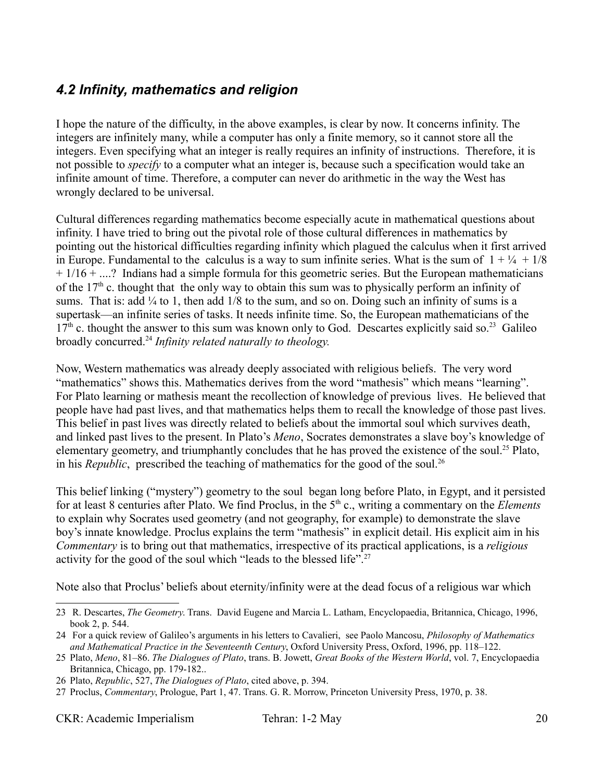#### *4.2 Infinity, mathematics and religion*

I hope the nature of the difficulty, in the above examples, is clear by now. It concerns infinity. The integers are infinitely many, while a computer has only a finite memory, so it cannot store all the integers. Even specifying what an integer is really requires an infinity of instructions. Therefore, it is not possible to *specify* to a computer what an integer is, because such a specification would take an infinite amount of time. Therefore, a computer can never do arithmetic in the way the West has wrongly declared to be universal.

Cultural differences regarding mathematics become especially acute in mathematical questions about infinity. I have tried to bring out the pivotal role of those cultural differences in mathematics by pointing out the historical difficulties regarding infinity which plagued the calculus when it first arrived in Europe. Fundamental to the calculus is a way to sum infinite series. What is the sum of  $1 + \frac{1}{4} + \frac{1}{8}$ + 1/16 + ....? Indians had a simple formula for this geometric series. But the European mathematicians of the  $17<sup>th</sup>$  c. thought that the only way to obtain this sum was to physically perform an infinity of sums. That is: add  $\frac{1}{4}$  to 1, then add  $\frac{1}{8}$  to the sum, and so on. Doing such an infinity of sums is a supertask—an infinite series of tasks. It needs infinite time. So, the European mathematicians of the  $17<sup>th</sup>$  c. thought the answer to this sum was known only to God. Descartes explicitly said so.<sup>[23](#page-19-0)</sup> Galileo broadly concurred.[24](#page-19-1) *Infinity related naturally to theology.*

Now, Western mathematics was already deeply associated with religious beliefs. The very word "mathematics" shows this. Mathematics derives from the word "mathesis" which means "learning". For Plato learning or mathesis meant the recollection of knowledge of previous lives. He believed that people have had past lives, and that mathematics helps them to recall the knowledge of those past lives. This belief in past lives was directly related to beliefs about the immortal soul which survives death, and linked past lives to the present. In Plato's *Meno*, Socrates demonstrates a slave boy's knowledge of elementary geometry, and triumphantly concludes that he has proved the existence of the soul.[25](#page-19-2) Plato, in his *Republic*, prescribed the teaching of mathematics for the good of the soul.<sup>[26](#page-19-3)</sup>

This belief linking ("mystery") geometry to the soul began long before Plato, in Egypt, and it persisted for at least 8 centuries after Plato. We find Proclus, in the 5<sup>th</sup> c., writing a commentary on the *Elements* to explain why Socrates used geometry (and not geography, for example) to demonstrate the slave boy's innate knowledge. Proclus explains the term "mathesis" in explicit detail. His explicit aim in his *Commentary* is to bring out that mathematics, irrespective of its practical applications, is a *religious* activity for the good of the soul which "leads to the blessed life".<sup>[27](#page-19-4)</sup>

Note also that Proclus' beliefs about eternity/infinity were at the dead focus of a religious war which

<span id="page-19-0"></span><sup>23</sup> R. Descartes, *The Geometry*. Trans. David Eugene and Marcia L. Latham, Encyclopaedia, Britannica, Chicago, 1996, book 2, p. 544.

<span id="page-19-1"></span><sup>24</sup> For a quick review of Galileo's arguments in his letters to Cavalieri, see Paolo Mancosu, *Philosophy of Mathematics and Mathematical Practice in the Seventeenth Century*, Oxford University Press, Oxford, 1996, pp. 118–122.

<span id="page-19-2"></span><sup>25</sup> Plato, *Meno*, 81–86. *The Dialogues of Plato*, trans. B. Jowett, *Great Books of the Western World*, vol. 7, Encyclopaedia Britannica, Chicago, pp. 179-182..

<span id="page-19-3"></span><sup>26</sup> Plato, *Republic*, 527, *The Dialogues of Plato*, cited above, p. 394.

<span id="page-19-4"></span><sup>27</sup> Proclus, *Commentary*, Prologue, Part 1, 47. Trans. G. R. Morrow, Princeton University Press, 1970, p. 38.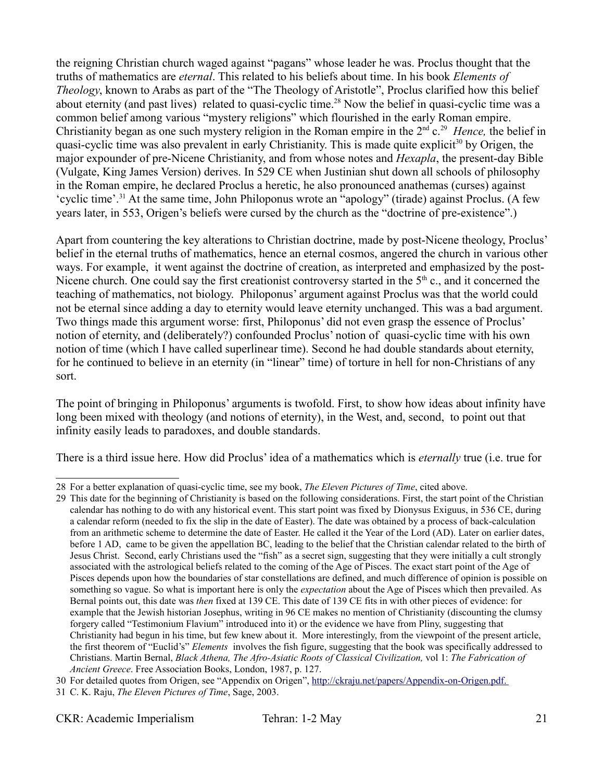the reigning Christian church waged against "pagans" whose leader he was. Proclus thought that the truths of mathematics are *eternal*. This related to his beliefs about time. In his book *Elements of Theology*, known to Arabs as part of the "The Theology of Aristotle", Proclus clarified how this belief about eternity (and past lives) related to quasi-cyclic time.<sup>[28](#page-20-0)</sup> Now the belief in quasi-cyclic time was a common belief among various "mystery religions" which flourished in the early Roman empire. Christianity began as one such mystery religion in the Roman empire in the 2<sup>nd</sup> c.<sup>[29](#page-20-1)</sup> *Hence*, the belief in quasi-cyclic time was also prevalent in early Christianity. This is made quite explicit<sup>[30](#page-20-2)</sup> by Origen, the major expounder of pre-Nicene Christianity, and from whose notes and *Hexapla*, the present-day Bible (Vulgate, King James Version) derives. In 529 CE when Justinian shut down all schools of philosophy in the Roman empire, he declared Proclus a heretic, he also pronounced anathemas (curses) against 'cyclic time'.[31](#page-20-3) At the same time, John Philoponus wrote an "apology" (tirade) against Proclus. (A few years later, in 553, Origen's beliefs were cursed by the church as the "doctrine of pre-existence".)

Apart from countering the key alterations to Christian doctrine, made by post-Nicene theology, Proclus' belief in the eternal truths of mathematics, hence an eternal cosmos, angered the church in various other ways. For example, it went against the doctrine of creation, as interpreted and emphasized by the post-Nicene church. One could say the first creationist controversy started in the  $5<sup>th</sup>$  c., and it concerned the teaching of mathematics, not biology. Philoponus' argument against Proclus was that the world could not be eternal since adding a day to eternity would leave eternity unchanged. This was a bad argument. Two things made this argument worse: first, Philoponus' did not even grasp the essence of Proclus' notion of eternity, and (deliberately?) confounded Proclus' notion of quasi-cyclic time with his own notion of time (which I have called superlinear time). Second he had double standards about eternity, for he continued to believe in an eternity (in "linear" time) of torture in hell for non-Christians of any sort.

The point of bringing in Philoponus' arguments is twofold. First, to show how ideas about infinity have long been mixed with theology (and notions of eternity), in the West, and, second, to point out that infinity easily leads to paradoxes, and double standards.

There is a third issue here. How did Proclus' idea of a mathematics which is *eternally* true (i.e. true for

<span id="page-20-0"></span><sup>28</sup> For a better explanation of quasi-cyclic time, see my book, *The Eleven Pictures of Time*, cited above.

<span id="page-20-1"></span><sup>29</sup> This date for the beginning of Christianity is based on the following considerations. First, the start point of the Christian calendar has nothing to do with any historical event. This start point was fixed by Dionysus Exiguus, in 536 CE, during a calendar reform (needed to fix the slip in the date of Easter). The date was obtained by a process of back-calculation from an arithmetic scheme to determine the date of Easter. He called it the Year of the Lord (AD). Later on earlier dates, before 1 AD, came to be given the appellation BC, leading to the belief that the Christian calendar related to the birth of Jesus Christ. Second, early Christians used the "fish" as a secret sign, suggesting that they were initially a cult strongly associated with the astrological beliefs related to the coming of the Age of Pisces. The exact start point of the Age of Pisces depends upon how the boundaries of star constellations are defined, and much difference of opinion is possible on something so vague. So what is important here is only the *expectation* about the Age of Pisces which then prevailed. As Bernal points out, this date was *then* fixed at 139 CE. This date of 139 CE fits in with other pieces of evidence: for example that the Jewish historian Josephus, writing in 96 CE makes no mention of Christianity (discounting the clumsy forgery called "Testimonium Flavium" introduced into it) or the evidence we have from Pliny, suggesting that Christianity had begun in his time, but few knew about it. More interestingly, from the viewpoint of the present article, the first theorem of "Euclid's" *Elements* involves the fish figure, suggesting that the book was specifically addressed to Christians. Martin Bernal, *Black Athena, The Afro-Asiatic Roots of Classical Civilization,* vol 1: *The Fabrication of Ancient Greece*. Free Association Books, London, 1987, p. 127.

<span id="page-20-2"></span><sup>30</sup> For detailed quotes from Origen, see "Appendix on Origen",<http://ckraju.net/papers/Appendix-on-Origen.pdf>.

<span id="page-20-3"></span><sup>31</sup> C. K. Raju, *The Eleven Pictures of Time*, Sage, 2003.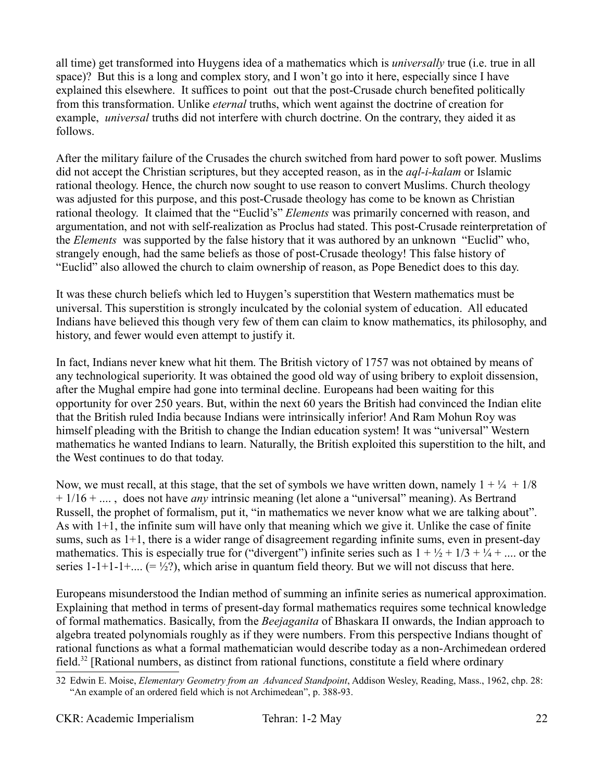all time) get transformed into Huygens idea of a mathematics which is *universally* true (i.e. true in all space)? But this is a long and complex story, and I won't go into it here, especially since I have explained this elsewhere. It suffices to point out that the post-Crusade church benefited politically from this transformation. Unlike *eternal* truths, which went against the doctrine of creation for example, *universal* truths did not interfere with church doctrine. On the contrary, they aided it as follows.

After the military failure of the Crusades the church switched from hard power to soft power. Muslims did not accept the Christian scriptures, but they accepted reason, as in the *aql-i-kalam* or Islamic rational theology. Hence, the church now sought to use reason to convert Muslims. Church theology was adjusted for this purpose, and this post-Crusade theology has come to be known as Christian rational theology. It claimed that the "Euclid's" *Elements* was primarily concerned with reason, and argumentation, and not with self-realization as Proclus had stated. This post-Crusade reinterpretation of the *Elements* was supported by the false history that it was authored by an unknown "Euclid" who, strangely enough, had the same beliefs as those of post-Crusade theology! This false history of "Euclid" also allowed the church to claim ownership of reason, as Pope Benedict does to this day.

It was these church beliefs which led to Huygen's superstition that Western mathematics must be universal. This superstition is strongly inculcated by the colonial system of education. All educated Indians have believed this though very few of them can claim to know mathematics, its philosophy, and history, and fewer would even attempt to justify it.

In fact, Indians never knew what hit them. The British victory of 1757 was not obtained by means of any technological superiority. It was obtained the good old way of using bribery to exploit dissension, after the Mughal empire had gone into terminal decline. Europeans had been waiting for this opportunity for over 250 years. But, within the next 60 years the British had convinced the Indian elite that the British ruled India because Indians were intrinsically inferior! And Ram Mohun Roy was himself pleading with the British to change the Indian education system! It was "universal" Western mathematics he wanted Indians to learn. Naturally, the British exploited this superstition to the hilt, and the West continues to do that today.

Now, we must recall, at this stage, that the set of symbols we have written down, namely  $1 + \frac{1}{4} + \frac{1}{8}$ + 1/16 + .... , does not have *any* intrinsic meaning (let alone a "universal" meaning). As Bertrand Russell, the prophet of formalism, put it, "in mathematics we never know what we are talking about". As with 1+1, the infinite sum will have only that meaning which we give it. Unlike the case of finite sums, such as 1+1, there is a wider range of disagreement regarding infinite sums, even in present-day mathematics. This is especially true for ("divergent") infinite series such as  $1 + \frac{1}{2} + \frac{1}{3} + \frac{1}{4} + \dots$  or the series  $1-1+1-1+...$  (=  $\frac{1}{2}$ ?), which arise in quantum field theory. But we will not discuss that here.

Europeans misunderstood the Indian method of summing an infinite series as numerical approximation. Explaining that method in terms of present-day formal mathematics requires some technical knowledge of formal mathematics. Basically, from the *Beejaganita* of Bhaskara II onwards, the Indian approach to algebra treated polynomials roughly as if they were numbers. From this perspective Indians thought of rational functions as what a formal mathematician would describe today as a non-Archimedean ordered field.[32](#page-21-0) [Rational numbers, as distinct from rational functions, constitute a field where ordinary

<span id="page-21-0"></span><sup>32</sup> Edwin E. Moise, *Elementary Geometry from an Advanced Standpoint*, Addison Wesley, Reading, Mass., 1962, chp. 28: "An example of an ordered field which is not Archimedean", p. 388-93.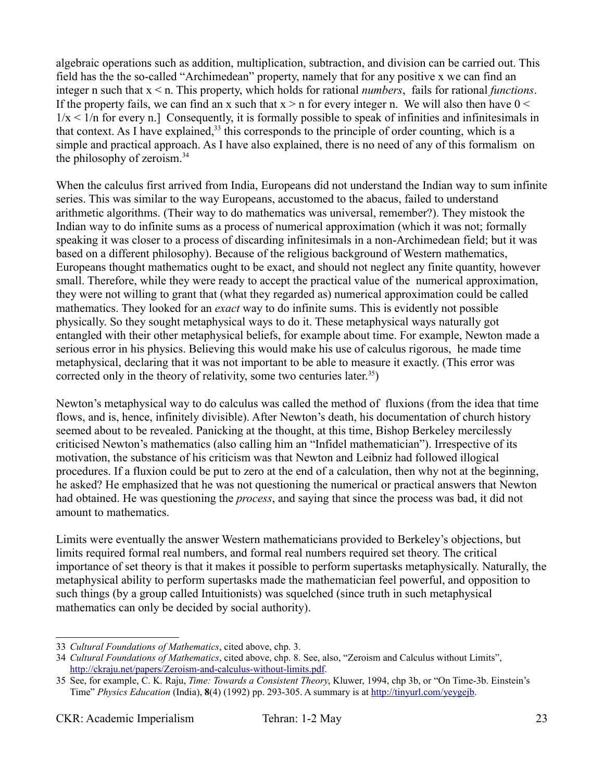algebraic operations such as addition, multiplication, subtraction, and division can be carried out. This field has the the so-called "Archimedean" property, namely that for any positive x we can find an integer n such that x < n. This property, which holds for rational *numbers*, fails for rational *functions*. If the property fails, we can find an x such that  $x > n$  for every integer n. We will also then have  $0 <$  $1/x < 1/n$  for every n.] Consequently, it is formally possible to speak of infinities and infinitesimals in that context. As I have explained,<sup>[33](#page-22-0)</sup> this corresponds to the principle of order counting, which is a simple and practical approach. As I have also explained, there is no need of any of this formalism on the philosophy of zeroism. $34$ 

When the calculus first arrived from India, Europeans did not understand the Indian way to sum infinite series. This was similar to the way Europeans, accustomed to the abacus, failed to understand arithmetic algorithms. (Their way to do mathematics was universal, remember?). They mistook the Indian way to do infinite sums as a process of numerical approximation (which it was not; formally speaking it was closer to a process of discarding infinitesimals in a non-Archimedean field; but it was based on a different philosophy). Because of the religious background of Western mathematics, Europeans thought mathematics ought to be exact, and should not neglect any finite quantity, however small. Therefore, while they were ready to accept the practical value of the numerical approximation, they were not willing to grant that (what they regarded as) numerical approximation could be called mathematics. They looked for an *exact* way to do infinite sums. This is evidently not possible physically. So they sought metaphysical ways to do it. These metaphysical ways naturally got entangled with their other metaphysical beliefs, for example about time. For example, Newton made a serious error in his physics. Believing this would make his use of calculus rigorous, he made time metaphysical, declaring that it was not important to be able to measure it exactly. (This error was corrected only in the theory of relativity, some two centuries later.<sup>[35](#page-22-2)</sup>)

Newton's metaphysical way to do calculus was called the method of fluxions (from the idea that time flows, and is, hence, infinitely divisible). After Newton's death, his documentation of church history seemed about to be revealed. Panicking at the thought, at this time, Bishop Berkeley mercilessly criticised Newton's mathematics (also calling him an "Infidel mathematician"). Irrespective of its motivation, the substance of his criticism was that Newton and Leibniz had followed illogical procedures. If a fluxion could be put to zero at the end of a calculation, then why not at the beginning, he asked? He emphasized that he was not questioning the numerical or practical answers that Newton had obtained. He was questioning the *process*, and saying that since the process was bad, it did not amount to mathematics.

Limits were eventually the answer Western mathematicians provided to Berkeley's objections, but limits required formal real numbers, and formal real numbers required set theory. The critical importance of set theory is that it makes it possible to perform supertasks metaphysically. Naturally, the metaphysical ability to perform supertasks made the mathematician feel powerful, and opposition to such things (by a group called Intuitionists) was squelched (since truth in such metaphysical mathematics can only be decided by social authority).

<span id="page-22-0"></span><sup>33</sup> *Cultural Foundations of Mathematics*, cited above, chp. 3.

<span id="page-22-1"></span><sup>34</sup> *Cultural Foundations of Mathematics*, cited above, chp. 8. See, also, "Zeroism and Calculus without Limits", [http://ckraju.net/papers/Zeroism-and-calculus-without-limits.pdf.](http://ckraju.net/papers/Zeroism-and-calculus-without-limits.pdf)

<span id="page-22-2"></span><sup>35</sup> See, for example, C. K. Raju, *Time: Towards a Consistent Theory*, Kluwer, 1994, chp 3b, or "On Time-3b. Einstein's Time" *Physics Education* (India), **8**(4) (1992) pp. 293-305. A summary is at [http://tinyurl.com/yeygejb.](http://tinyurl.com/yeygejb)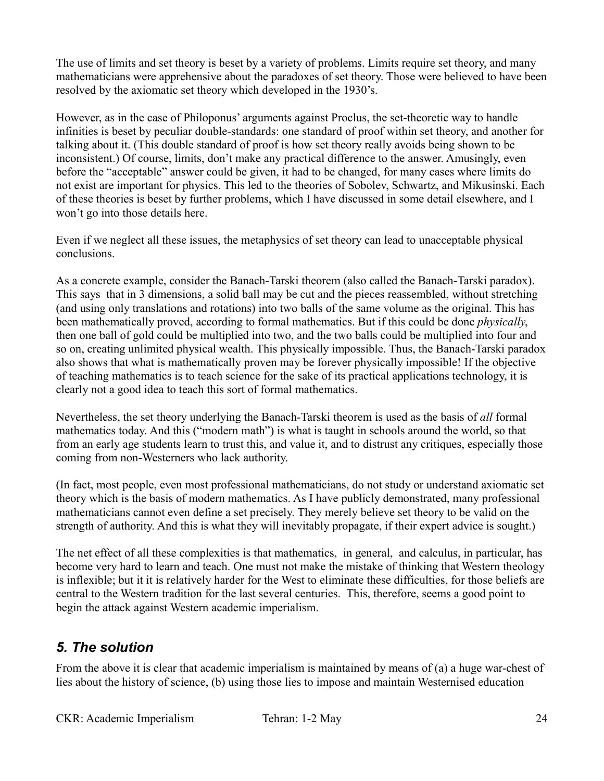The use of limits and set theory is beset by a variety of problems. Limits require set theory, and many mathematicians were apprehensive about the paradoxes of set theory. Those were believed to have been resolved by the axiomatic set theory which developed in the 1930's.

However, as in the case of Philoponus' arguments against Proclus, the set-theoretic way to handle infinities is beset by peculiar double-standards: one standard of proof within set theory, and another for talking about it. (This double standard of proof is how set theory really avoids being shown to be inconsistent.) Of course, limits, don't make any practical difference to the answer. Amusingly, even before the "acceptable" answer could be given, it had to be changed, for many cases where limits do not exist are important for physics. This led to the theories of Sobolev, Schwartz, and Mikusinski. Each of these theories is beset by further problems, which I have discussed in some detail elsewhere, and I won't go into those details here.

Even if we neglect all these issues, the metaphysics of set theory can lead to unacceptable physical conclusions.

As a concrete example, consider the Banach-Tarski theorem (also called the Banach-Tarski paradox). This says that in 3 dimensions, a solid ball may be cut and the pieces reassembled, without stretching (and using only translations and rotations) into two balls of the same volume as the original. This has been mathematically proved, according to formal mathematics. But if this could be done *physically*, then one ball of gold could be multiplied into two, and the two balls could be multiplied into four and so on, creating unlimited physical wealth. This physically impossible. Thus, the Banach-Tarski paradox also shows that what is mathematically proven may be forever physically impossible! If the objective of teaching mathematics is to teach science for the sake of its practical applications technology, it is clearly not a good idea to teach this sort of formal mathematics.

Nevertheless, the set theory underlying the Banach-Tarski theorem is used as the basis of *all* formal mathematics today. And this ("modern math") is what is taught in schools around the world, so that from an early age students learn to trust this, and value it, and to distrust any critiques, especially those coming from non-Westerners who lack authority.

(In fact, most people, even most professional mathematicians, do not study or understand axiomatic set theory which is the basis of modern mathematics. As I have publicly demonstrated, many professional mathematicians cannot even define a set precisely. They merely believe set theory to be valid on the strength of authority. And this is what they will inevitably propagate, if their expert advice is sought.)

The net effect of all these complexities is that mathematics, in general, and calculus, in particular, has become very hard to learn and teach. One must not make the mistake of thinking that Western theology is inflexible; but it it is relatively harder for the West to eliminate these difficulties, for those beliefs are central to the Western tradition for the last several centuries. This, therefore, seems a good point to begin the attack against Western academic imperialism.

# *5. The solution*

From the above it is clear that academic imperialism is maintained by means of (a) a huge war-chest of lies about the history of science, (b) using those lies to impose and maintain Westernised education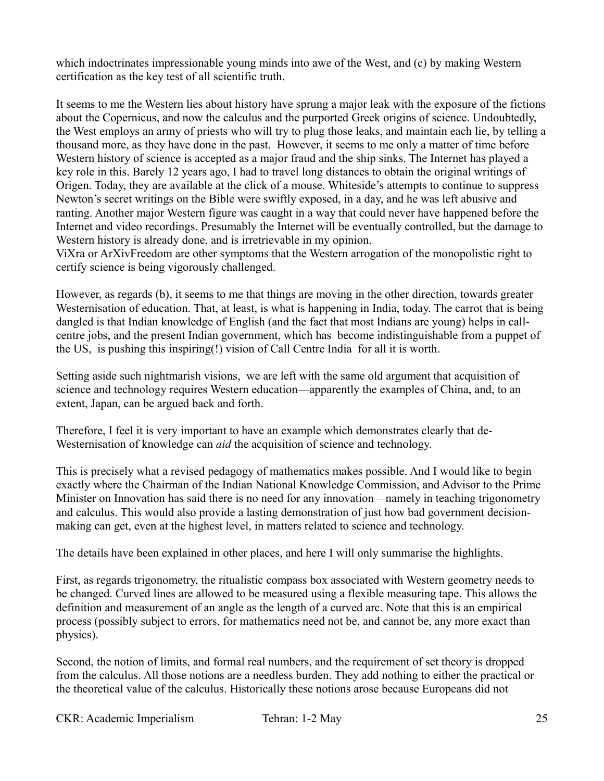which indoctrinates impressionable young minds into awe of the West, and (c) by making Western certification as the key test of all scientific truth.

It seems to me the Western lies about history have sprung a major leak with the exposure of the fictions about the Copernicus, and now the calculus and the purported Greek origins of science. Undoubtedly, the West employs an army of priests who will try to plug those leaks, and maintain each lie, by telling a thousand more, as they have done in the past. However, it seems to me only a matter of time before Western history of science is accepted as a major fraud and the ship sinks. The Internet has played a key role in this. Barely 12 years ago, I had to travel long distances to obtain the original writings of Origen. Today, they are available at the click of a mouse. Whiteside's attempts to continue to suppress Newton's secret writings on the Bible were swiftly exposed, in a day, and he was left abusive and ranting. Another major Western figure was caught in a way that could never have happened before the Internet and video recordings. Presumably the Internet will be eventually controlled, but the damage to Western history is already done, and is irretrievable in my opinion.

ViXra or ArXivFreedom are other symptoms that the Western arrogation of the monopolistic right to certify science is being vigorously challenged.

However, as regards (b), it seems to me that things are moving in the other direction, towards greater Westernisation of education. That, at least, is what is happening in India, today. The carrot that is being dangled is that Indian knowledge of English (and the fact that most Indians are young) helps in callcentre jobs, and the present Indian government, which has become indistinguishable from a puppet of the US, is pushing this inspiring(!) vision of Call Centre India for all it is worth.

Setting aside such nightmarish visions, we are left with the same old argument that acquisition of science and technology requires Western education—apparently the examples of China, and, to an extent, Japan, can be argued back and forth.

Therefore, I feel it is very important to have an example which demonstrates clearly that de-Westernisation of knowledge can *aid* the acquisition of science and technology.

This is precisely what a revised pedagogy of mathematics makes possible. And I would like to begin exactly where the Chairman of the Indian National Knowledge Commission, and Advisor to the Prime Minister on Innovation has said there is no need for any innovation—namely in teaching trigonometry and calculus. This would also provide a lasting demonstration of just how bad government decisionmaking can get, even at the highest level, in matters related to science and technology.

The details have been explained in other places, and here I will only summarise the highlights.

First, as regards trigonometry, the ritualistic compass box associated with Western geometry needs to be changed. Curved lines are allowed to be measured using a flexible measuring tape. This allows the definition and measurement of an angle as the length of a curved arc. Note that this is an empirical process (possibly subject to errors, for mathematics need not be, and cannot be, any more exact than physics).

Second, the notion of limits, and formal real numbers, and the requirement of set theory is dropped from the calculus. All those notions are a needless burden. They add nothing to either the practical or the theoretical value of the calculus. Historically these notions arose because Europeans did not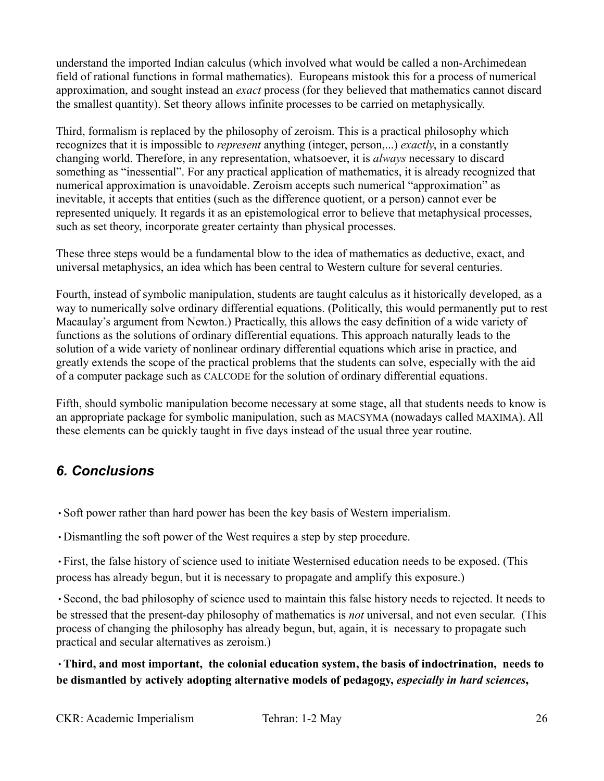understand the imported Indian calculus (which involved what would be called a non-Archimedean field of rational functions in formal mathematics). Europeans mistook this for a process of numerical approximation, and sought instead an *exact* process (for they believed that mathematics cannot discard the smallest quantity). Set theory allows infinite processes to be carried on metaphysically.

Third, formalism is replaced by the philosophy of zeroism. This is a practical philosophy which recognizes that it is impossible to *represent* anything (integer, person,...) *exactly*, in a constantly changing world. Therefore, in any representation, whatsoever, it is *always* necessary to discard something as "inessential". For any practical application of mathematics, it is already recognized that numerical approximation is unavoidable. Zeroism accepts such numerical "approximation" as inevitable, it accepts that entities (such as the difference quotient, or a person) cannot ever be represented uniquely. It regards it as an epistemological error to believe that metaphysical processes, such as set theory, incorporate greater certainty than physical processes.

These three steps would be a fundamental blow to the idea of mathematics as deductive, exact, and universal metaphysics, an idea which has been central to Western culture for several centuries.

Fourth, instead of symbolic manipulation, students are taught calculus as it historically developed, as a way to numerically solve ordinary differential equations. (Politically, this would permanently put to rest Macaulay's argument from Newton.) Practically, this allows the easy definition of a wide variety of functions as the solutions of ordinary differential equations. This approach naturally leads to the solution of a wide variety of nonlinear ordinary differential equations which arise in practice, and greatly extends the scope of the practical problems that the students can solve, especially with the aid of a computer package such as CALCODE for the solution of ordinary differential equations.

Fifth, should symbolic manipulation become necessary at some stage, all that students needs to know is an appropriate package for symbolic manipulation, such as MACSYMA (nowadays called MAXIMA). All these elements can be quickly taught in five days instead of the usual three year routine.

# *6. Conclusions*

•Soft power rather than hard power has been the key basis of Western imperialism.

•Dismantling the soft power of the West requires a step by step procedure.

•First, the false history of science used to initiate Westernised education needs to be exposed. (This process has already begun, but it is necessary to propagate and amplify this exposure.)

•Second, the bad philosophy of science used to maintain this false history needs to rejected. It needs to be stressed that the present-day philosophy of mathematics is *not* universal, and not even secular. (This process of changing the philosophy has already begun, but, again, it is necessary to propagate such practical and secular alternatives as zeroism.)

•**Third, and most important, the colonial education system, the basis of indoctrination, needs to be dismantled by actively adopting alternative models of pedagogy,** *especially in hard sciences***,**